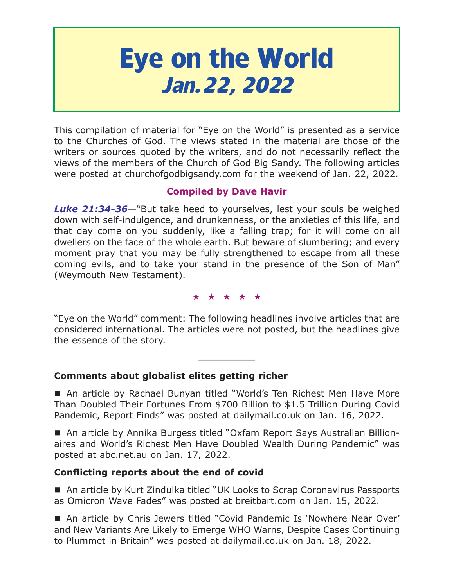# **Eye on the World Jan.22, 2022**

This compilation of material for "Eye on the World" is presented as a service to the Churches of God. The views stated in the material are those of the writers or sources quoted by the writers, and do not necessarily reflect the views of the members of the Church of God Big Sandy. The following articles were posted at churchofgodbigsandy.com for the weekend of Jan. 22, 2022.

# **Compiled by Dave Havir**

*Luke 21:34-36*—"But take heed to yourselves, lest your souls be weighed down with self-indulgence, and drunkenness, or the anxieties of this life, and that day come on you suddenly, like a falling trap; for it will come on all dwellers on the face of the whole earth. But beware of slumbering; and every moment pray that you may be fully strengthened to escape from all these coming evils, and to take your stand in the presence of the Son of Man" (Weymouth New Testament).

★★★★★

"Eye on the World" comment: The following headlines involve articles that are considered international. The articles were not posted, but the headlines give the essence of the story.

 $\overline{\phantom{a}}$  , where  $\overline{\phantom{a}}$ 

# **Comments about globalist elites getting richer**

■ An article by Rachael Bunyan titled "World's Ten Richest Men Have More Than Doubled Their Fortunes From \$700 Billion to \$1.5 Trillion During Covid Pandemic, Report Finds" was posted at dailymail.co.uk on Jan. 16, 2022.

 An article by Annika Burgess titled "Oxfam Report Says Australian Billionaires and World's Richest Men Have Doubled Wealth During Pandemic" was posted at abc.net.au on Jan. 17, 2022.

# **Conflicting reports about the end of covid**

■ An article by Kurt Zindulka titled "UK Looks to Scrap Coronavirus Passports as Omicron Wave Fades" was posted at breitbart.com on Jan. 15, 2022.

■ An article by Chris Jewers titled "Covid Pandemic Is 'Nowhere Near Over' and New Variants Are Likely to Emerge WHO Warns, Despite Cases Continuing to Plummet in Britain" was posted at dailymail.co.uk on Jan. 18, 2022.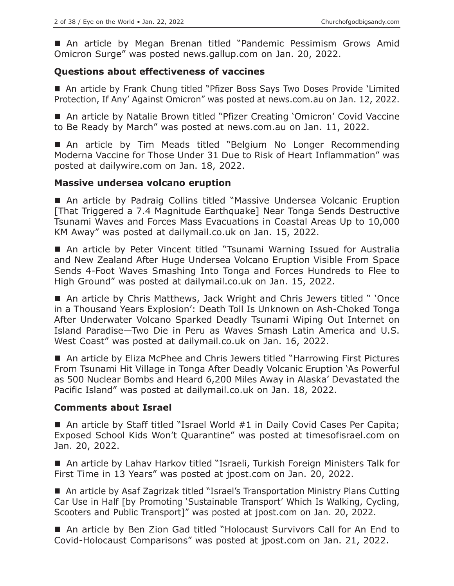An article by Megan Brenan titled "Pandemic Pessimism Grows Amid Omicron Surge" was posted news.gallup.com on Jan. 20, 2022.

#### **Questions about effectiveness of vaccines**

■ An article by Frank Chung titled "Pfizer Boss Says Two Doses Provide 'Limited Protection, If Any' Against Omicron" was posted at news.com.au on Jan. 12, 2022.

■ An article by Natalie Brown titled "Pfizer Creating 'Omicron' Covid Vaccine to Be Ready by March" was posted at news.com.au on Jan. 11, 2022.

■ An article by Tim Meads titled "Belgium No Longer Recommending Moderna Vaccine for Those Under 31 Due to Risk of Heart Inflammation" was posted at dailywire.com on Jan. 18, 2022.

#### **Massive undersea volcano eruption**

 An article by Padraig Collins titled "Massive Undersea Volcanic Eruption [That Triggered a 7.4 Magnitude Earthquake] Near Tonga Sends Destructive Tsunami Waves and Forces Mass Evacuations in Coastal Areas Up to 10,000 KM Away" was posted at dailymail.co.uk on Jan. 15, 2022.

■ An article by Peter Vincent titled "Tsunami Warning Issued for Australia and New Zealand After Huge Undersea Volcano Eruption Visible From Space Sends 4-Foot Waves Smashing Into Tonga and Forces Hundreds to Flee to High Ground" was posted at dailymail.co.uk on Jan. 15, 2022.

■ An article by Chris Matthews, Jack Wright and Chris Jewers titled " 'Once in a Thousand Years Explosion': Death Toll Is Unknown on Ash-Choked Tonga After Underwater Volcano Sparked Deadly Tsunami Wiping Out Internet on Island Paradise—Two Die in Peru as Waves Smash Latin America and U.S. West Coast" was posted at dailymail.co.uk on Jan. 16, 2022.

 An article by Eliza McPhee and Chris Jewers titled "Harrowing First Pictures From Tsunami Hit Village in Tonga After Deadly Volcanic Eruption 'As Powerful as 500 Nuclear Bombs and Heard 6,200 Miles Away in Alaska' Devastated the Pacific Island" was posted at dailymail.co.uk on Jan. 18, 2022.

#### **Comments about Israel**

■ An article by Staff titled "Israel World #1 in Daily Covid Cases Per Capita; Exposed School Kids Won't Quarantine" was posted at timesofisrael.com on Jan. 20, 2022.

■ An article by Lahav Harkov titled "Israeli, Turkish Foreign Ministers Talk for First Time in 13 Years" was posted at jpost.com on Jan. 20, 2022.

■ An article by Asaf Zagrizak titled "Israel's Transportation Ministry Plans Cutting Car Use in Half [by Promoting 'Sustainable Transport' Which Is Walking, Cycling, Scooters and Public Transport]" was posted at jpost.com on Jan. 20, 2022.

■ An article by Ben Zion Gad titled "Holocaust Survivors Call for An End to Covid-Holocaust Comparisons" was posted at jpost.com on Jan. 21, 2022.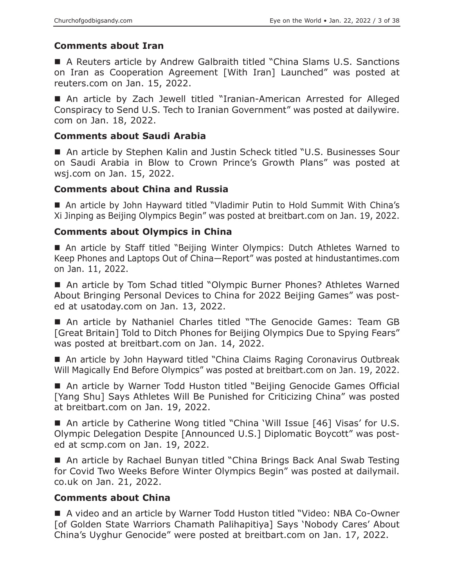# **Comments about Iran**

■ A Reuters article by Andrew Galbraith titled "China Slams U.S. Sanctions on Iran as Cooperation Agreement [With Iran] Launched" was posted at reuters.com on Jan. 15, 2022.

■ An article by Zach Jewell titled "Iranian-American Arrested for Alleged Conspiracy to Send U.S. Tech to Iranian Government" was posted at dailywire. com on Jan. 18, 2022.

#### **Comments about Saudi Arabia**

■ An article by Stephen Kalin and Justin Scheck titled "U.S. Businesses Sour on Saudi Arabia in Blow to Crown Prince's Growth Plans" was posted at wsj.com on Jan. 15, 2022.

# **Comments about China and Russia**

■ An article by John Hayward titled "Vladimir Putin to Hold Summit With China's Xi Jinping as Beijing Olympics Begin" was posted at breitbart.com on Jan. 19, 2022.

# **Comments about Olympics in China**

 An article by Staff titled "Beijing Winter Olympics: Dutch Athletes Warned to Keep Phones and Laptops Out of China—Report" was posted at hindustantimes.com on Jan. 11, 2022.

■ An article by Tom Schad titled "Olympic Burner Phones? Athletes Warned About Bringing Personal Devices to China for 2022 Beijing Games" was posted at usatoday.com on Jan. 13, 2022.

 An article by Nathaniel Charles titled "The Genocide Games: Team GB [Great Britain] Told to Ditch Phones for Beijing Olympics Due to Spying Fears" was posted at breitbart.com on Jan. 14, 2022.

■ An article by John Hayward titled "China Claims Raging Coronavirus Outbreak Will Magically End Before Olympics" was posted at breitbart.com on Jan. 19, 2022.

■ An article by Warner Todd Huston titled "Beijing Genocide Games Official [Yang Shu] Says Athletes Will Be Punished for Criticizing China" was posted at breitbart.com on Jan. 19, 2022.

■ An article by Catherine Wong titled "China 'Will Issue [46] Visas' for U.S. Olympic Delegation Despite [Announced U.S.] Diplomatic Boycott" was posted at scmp.com on Jan. 19, 2022.

■ An article by Rachael Bunyan titled "China Brings Back Anal Swab Testing for Covid Two Weeks Before Winter Olympics Begin" was posted at dailymail. co.uk on Jan. 21, 2022.

# **Comments about China**

 A video and an article by Warner Todd Huston titled "Video: NBA Co-Owner [of Golden State Warriors Chamath Palihapitiya] Says 'Nobody Cares' About China's Uyghur Genocide" were posted at breitbart.com on Jan. 17, 2022.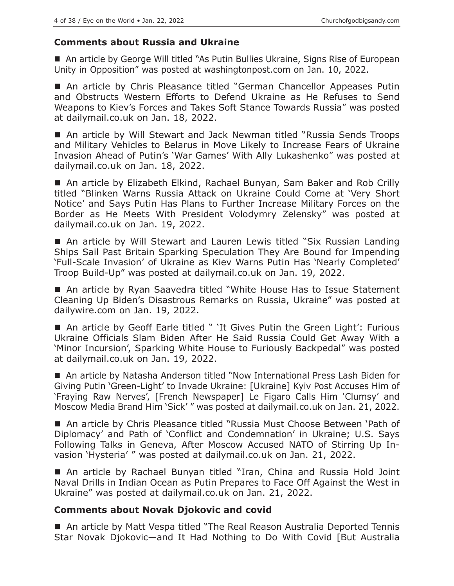# **Comments about Russia and Ukraine**

■ An article by George Will titled "As Putin Bullies Ukraine, Signs Rise of European Unity in Opposition" was posted at washingtonpost.com on Jan. 10, 2022.

■ An article by Chris Pleasance titled "German Chancellor Appeases Putin and Obstructs Western Efforts to Defend Ukraine as He Refuses to Send Weapons to Kiev's Forces and Takes Soft Stance Towards Russia" was posted at dailymail.co.uk on Jan. 18, 2022.

 An article by Will Stewart and Jack Newman titled "Russia Sends Troops and Military Vehicles to Belarus in Move Likely to Increase Fears of Ukraine Invasion Ahead of Putin's 'War Games' With Ally Lukashenko" was posted at dailymail.co.uk on Jan. 18, 2022.

■ An article by Elizabeth Elkind, Rachael Bunyan, Sam Baker and Rob Crilly titled "Blinken Warns Russia Attack on Ukraine Could Come at 'Very Short Notice' and Says Putin Has Plans to Further Increase Military Forces on the Border as He Meets With President Volodymry Zelensky" was posted at dailymail.co.uk on Jan. 19, 2022.

■ An article by Will Stewart and Lauren Lewis titled "Six Russian Landing Ships Sail Past Britain Sparking Speculation They Are Bound for Impending 'Full-Scale Invasion' of Ukraine as Kiev Warns Putin Has 'Nearly Completed' Troop Build-Up" was posted at dailymail.co.uk on Jan. 19, 2022.

■ An article by Ryan Saavedra titled "White House Has to Issue Statement Cleaning Up Biden's Disastrous Remarks on Russia, Ukraine" was posted at dailywire.com on Jan. 19, 2022.

■ An article by Geoff Earle titled " 'It Gives Putin the Green Light': Furious Ukraine Officials Slam Biden After He Said Russia Could Get Away With a 'Minor Incursion', Sparking White House to Furiously Backpedal" was posted at dailymail.co.uk on Jan. 19, 2022.

■ An article by Natasha Anderson titled "Now International Press Lash Biden for Giving Putin 'Green-Light' to Invade Ukraine: [Ukraine] Kyiv Post Accuses Him of 'Fraying Raw Nerves', [French Newspaper] Le Figaro Calls Him 'Clumsy' and Moscow Media Brand Him 'Sick' " was posted at dailymail.co.uk on Jan. 21, 2022.

■ An article by Chris Pleasance titled "Russia Must Choose Between 'Path of Diplomacy' and Path of 'Conflict and Condemnation' in Ukraine; U.S. Says Following Talks in Geneva, After Moscow Accused NATO of Stirring Up Invasion 'Hysteria' " was posted at dailymail.co.uk on Jan. 21, 2022.

 An article by Rachael Bunyan titled "Iran, China and Russia Hold Joint Naval Drills in Indian Ocean as Putin Prepares to Face Off Against the West in Ukraine" was posted at dailymail.co.uk on Jan. 21, 2022.

# **Comments about Novak Djokovic and covid**

■ An article by Matt Vespa titled "The Real Reason Australia Deported Tennis Star Novak Djokovic—and It Had Nothing to Do With Covid [But Australia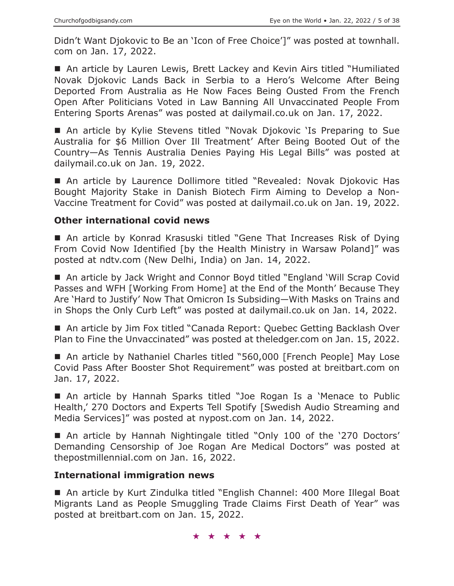Didn't Want Djokovic to Be an 'Icon of Free Choice']" was posted at townhall. com on Jan. 17, 2022.

■ An article by Lauren Lewis, Brett Lackey and Kevin Airs titled "Humiliated Novak Djokovic Lands Back in Serbia to a Hero's Welcome After Being Deported From Australia as He Now Faces Being Ousted From the French Open After Politicians Voted in Law Banning All Unvaccinated People From Entering Sports Arenas" was posted at dailymail.co.uk on Jan. 17, 2022.

■ An article by Kylie Stevens titled "Novak Djokovic 'Is Preparing to Sue Australia for \$6 Million Over Ill Treatment' After Being Booted Out of the Country—As Tennis Australia Denies Paying His Legal Bills" was posted at dailymail.co.uk on Jan. 19, 2022.

 An article by Laurence Dollimore titled "Revealed: Novak Djokovic Has Bought Majority Stake in Danish Biotech Firm Aiming to Develop a Non-Vaccine Treatment for Covid" was posted at dailymail.co.uk on Jan. 19, 2022.

#### **Other international covid news**

■ An article by Konrad Krasuski titled "Gene That Increases Risk of Dying From Covid Now Identified [by the Health Ministry in Warsaw Poland]" was posted at ndtv.com (New Delhi, India) on Jan. 14, 2022.

■ An article by Jack Wright and Connor Boyd titled "England 'Will Scrap Covid Passes and WFH [Working From Home] at the End of the Month' Because They Are 'Hard to Justify' Now That Omicron Is Subsiding—With Masks on Trains and in Shops the Only Curb Left" was posted at dailymail.co.uk on Jan. 14, 2022.

■ An article by Jim Fox titled "Canada Report: Quebec Getting Backlash Over Plan to Fine the Unvaccinated" was posted at theledger.com on Jan. 15, 2022.

■ An article by Nathaniel Charles titled "560,000 [French People] May Lose Covid Pass After Booster Shot Requirement" was posted at breitbart.com on Jan. 17, 2022.

 An article by Hannah Sparks titled "Joe Rogan Is a 'Menace to Public Health,' 270 Doctors and Experts Tell Spotify [Swedish Audio Streaming and Media Services]" was posted at nypost.com on Jan. 14, 2022.

 An article by Hannah Nightingale titled "Only 100 of the '270 Doctors' Demanding Censorship of Joe Rogan Are Medical Doctors" was posted at thepostmillennial.com on Jan. 16, 2022.

# **International immigration news**

■ An article by Kurt Zindulka titled "English Channel: 400 More Illegal Boat Migrants Land as People Smuggling Trade Claims First Death of Year" was posted at breitbart.com on Jan. 15, 2022.

★★★★★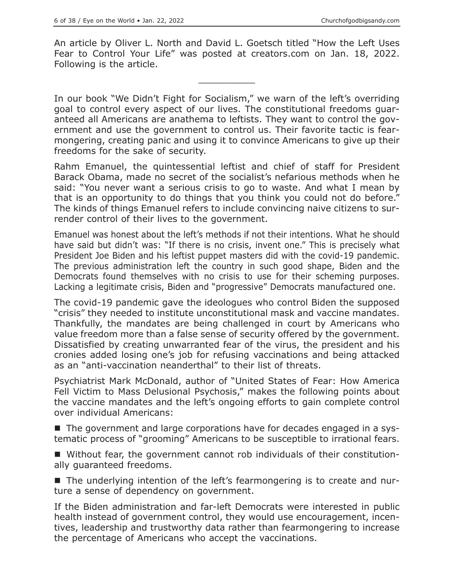An article by Oliver L. North and David L. Goetsch titled "How the Left Uses Fear to Control Your Life" was posted at creators.com on Jan. 18, 2022. Following is the article.

 $\overline{\phantom{a}}$  , where  $\overline{\phantom{a}}$ 

In our book "We Didn't Fight for Socialism," we warn of the left's overriding goal to control every aspect of our lives. The constitutional freedoms guaranteed all Americans are anathema to leftists. They want to control the government and use the government to control us. Their favorite tactic is fearmongering, creating panic and using it to convince Americans to give up their freedoms for the sake of security.

Rahm Emanuel, the quintessential leftist and chief of staff for President Barack Obama, made no secret of the socialist's nefarious methods when he said: "You never want a serious crisis to go to waste. And what I mean by that is an opportunity to do things that you think you could not do before." The kinds of things Emanuel refers to include convincing naive citizens to surrender control of their lives to the government.

Emanuel was honest about the left's methods if not their intentions. What he should have said but didn't was: "If there is no crisis, invent one." This is precisely what President Joe Biden and his leftist puppet masters did with the covid-19 pandemic. The previous administration left the country in such good shape, Biden and the Democrats found themselves with no crisis to use for their scheming purposes. Lacking a legitimate crisis, Biden and "progressive" Democrats manufactured one.

The covid-19 pandemic gave the ideologues who control Biden the supposed "crisis" they needed to institute unconstitutional mask and vaccine mandates. Thankfully, the mandates are being challenged in court by Americans who value freedom more than a false sense of security offered by the government. Dissatisfied by creating unwarranted fear of the virus, the president and his cronies added losing one's job for refusing vaccinations and being attacked as an "anti-vaccination neanderthal" to their list of threats.

Psychiatrist Mark McDonald, author of "United States of Fear: How America Fell Victim to Mass Delusional Psychosis," makes the following points about the vaccine mandates and the left's ongoing efforts to gain complete control over individual Americans:

■ The government and large corporations have for decades engaged in a systematic process of "grooming" Americans to be susceptible to irrational fears.

 Without fear, the government cannot rob individuals of their constitutionally guaranteed freedoms.

■ The underlying intention of the left's fearmongering is to create and nurture a sense of dependency on government.

If the Biden administration and far-left Democrats were interested in public health instead of government control, they would use encouragement, incentives, leadership and trustworthy data rather than fearmongering to increase the percentage of Americans who accept the vaccinations.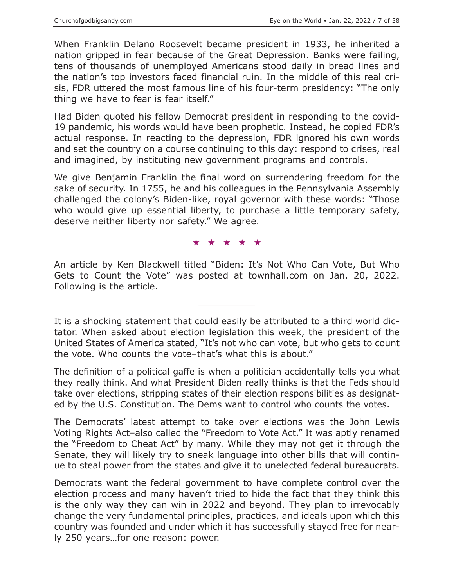When Franklin Delano Roosevelt became president in 1933, he inherited a nation gripped in fear because of the Great Depression. Banks were failing, tens of thousands of unemployed Americans stood daily in bread lines and the nation's top investors faced financial ruin. In the middle of this real crisis, FDR uttered the most famous line of his four-term presidency: "The only thing we have to fear is fear itself."

Had Biden quoted his fellow Democrat president in responding to the covid-19 pandemic, his words would have been prophetic. Instead, he copied FDR's actual response. In reacting to the depression, FDR ignored his own words and set the country on a course continuing to this day: respond to crises, real and imagined, by instituting new government programs and controls.

We give Benjamin Franklin the final word on surrendering freedom for the sake of security. In 1755, he and his colleagues in the Pennsylvania Assembly challenged the colony's Biden-like, royal governor with these words: "Those who would give up essential liberty, to purchase a little temporary safety, deserve neither liberty nor safety." We agree.

★★★★★

An article by Ken Blackwell titled "Biden: It's Not Who Can Vote, But Who Gets to Count the Vote" was posted at townhall.com on Jan. 20, 2022. Following is the article.

 $\overline{\phantom{a}}$  , where  $\overline{\phantom{a}}$ 

It is a shocking statement that could easily be attributed to a third world dictator. When asked about election legislation this week, the president of the United States of America stated, "It's not who can vote, but who gets to count the vote. Who counts the vote–that's what this is about."

The definition of a political gaffe is when a politician accidentally tells you what they really think. And what President Biden really thinks is that the Feds should take over elections, stripping states of their election responsibilities as designated by the U.S. Constitution. The Dems want to control who counts the votes.

The Democrats' latest attempt to take over elections was the John Lewis Voting Rights Act–also called the "Freedom to Vote Act." It was aptly renamed the "Freedom to Cheat Act" by many. While they may not get it through the Senate, they will likely try to sneak language into other bills that will continue to steal power from the states and give it to unelected federal bureaucrats.

Democrats want the federal government to have complete control over the election process and many haven't tried to hide the fact that they think this is the only way they can win in 2022 and beyond. They plan to irrevocably change the very fundamental principles, practices, and ideals upon which this country was founded and under which it has successfully stayed free for nearly 250 years…for one reason: power.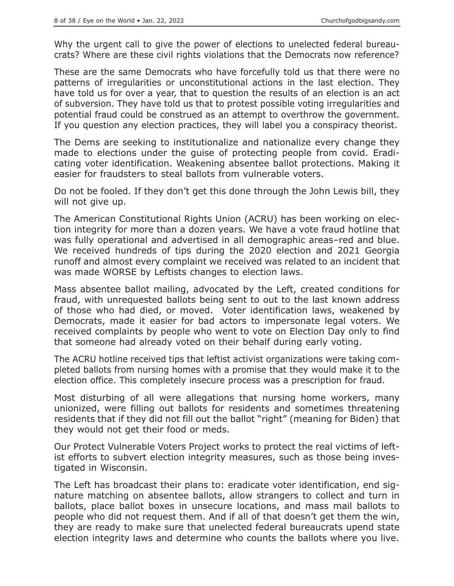Why the urgent call to give the power of elections to unelected federal bureaucrats? Where are these civil rights violations that the Democrats now reference?

These are the same Democrats who have forcefully told us that there were no patterns of irregularities or unconstitutional actions in the last election. They have told us for over a year, that to question the results of an election is an act of subversion. They have told us that to protest possible voting irregularities and potential fraud could be construed as an attempt to overthrow the government. If you question any election practices, they will label you a conspiracy theorist.

The Dems are seeking to institutionalize and nationalize every change they made to elections under the guise of protecting people from covid. Eradicating voter identification. Weakening absentee ballot protections. Making it easier for fraudsters to steal ballots from vulnerable voters.

Do not be fooled. If they don't get this done through the John Lewis bill, they will not give up.

The American Constitutional Rights Union (ACRU) has been working on election integrity for more than a dozen years. We have a vote fraud hotline that was fully operational and advertised in all demographic areas–red and blue. We received hundreds of tips during the 2020 election and 2021 Georgia runoff and almost every complaint we received was related to an incident that was made WORSE by Leftists changes to election laws.

Mass absentee ballot mailing, advocated by the Left, created conditions for fraud, with unrequested ballots being sent to out to the last known address of those who had died, or moved. Voter identification laws, weakened by Democrats, made it easier for bad actors to impersonate legal voters. We received complaints by people who went to vote on Election Day only to find that someone had already voted on their behalf during early voting.

The ACRU hotline received tips that leftist activist organizations were taking completed ballots from nursing homes with a promise that they would make it to the election office. This completely insecure process was a prescription for fraud.

Most disturbing of all were allegations that nursing home workers, many unionized, were filling out ballots for residents and sometimes threatening residents that if they did not fill out the ballot "right" (meaning for Biden) that they would not get their food or meds.

Our Protect Vulnerable Voters Project works to protect the real victims of leftist efforts to subvert election integrity measures, such as those being investigated in Wisconsin.

The Left has broadcast their plans to: eradicate voter identification, end signature matching on absentee ballots, allow strangers to collect and turn in ballots, place ballot boxes in unsecure locations, and mass mail ballots to people who did not request them. And if all of that doesn't get them the win, they are ready to make sure that unelected federal bureaucrats upend state election integrity laws and determine who counts the ballots where you live.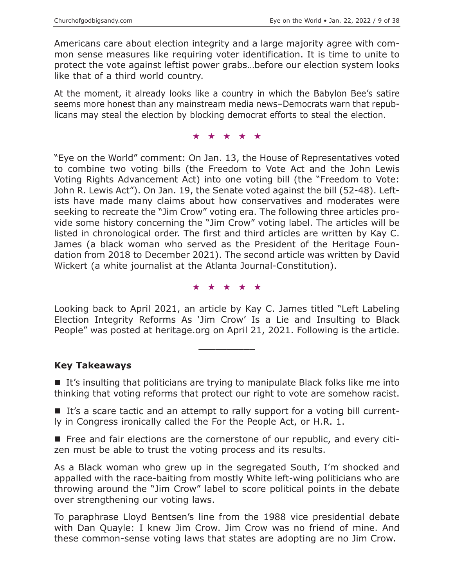Americans care about election integrity and a large majority agree with common sense measures like requiring voter identification. It is time to unite to protect the vote against leftist power grabs…before our election system looks like that of a third world country.

At the moment, it already looks like a country in which the Babylon Bee's satire seems more honest than any mainstream media news–Democrats warn that republicans may steal the election by blocking democrat efforts to steal the election.

★★★★★

"Eye on the World" comment: On Jan. 13, the House of Representatives voted to combine two voting bills (the Freedom to Vote Act and the John Lewis Voting Rights Advancement Act) into one voting bill (the "Freedom to Vote: John R. Lewis Act"). On Jan. 19, the Senate voted against the bill (52-48). Leftists have made many claims about how conservatives and moderates were seeking to recreate the "Jim Crow" voting era. The following three articles provide some history concerning the "Jim Crow" voting label. The articles will be listed in chronological order. The first and third articles are written by Kay C. James (a black woman who served as the President of the Heritage Foundation from 2018 to December 2021). The second article was written by David Wickert (a white journalist at the Atlanta Journal-Constitution).

★★★★★

Looking back to April 2021, an article by Kay C. James titled "Left Labeling Election Integrity Reforms As 'Jim Crow' Is a Lie and Insulting to Black People" was posted at heritage.org on April 21, 2021. Following is the article.

 $\overline{\phantom{a}}$  , where  $\overline{\phantom{a}}$ 

# **Key Takeaways**

■ It's insulting that politicians are trying to manipulate Black folks like me into thinking that voting reforms that protect our right to vote are somehow racist.

If's a scare tactic and an attempt to rally support for a voting bill currently in Congress ironically called the For the People Act, or H.R. 1.

**Figure 1** Free and fair elections are the cornerstone of our republic, and every citizen must be able to trust the voting process and its results.

As a Black woman who grew up in the segregated South, I'm shocked and appalled with the race-baiting from mostly White left-wing politicians who are throwing around the "Jim Crow" label to score political points in the debate over strengthening our voting laws.

To paraphrase Lloyd Bentsen's line from the 1988 vice presidential debate with Dan Quayle: I knew Jim Crow. Jim Crow was no friend of mine. And these common-sense voting laws that states are adopting are no Jim Crow.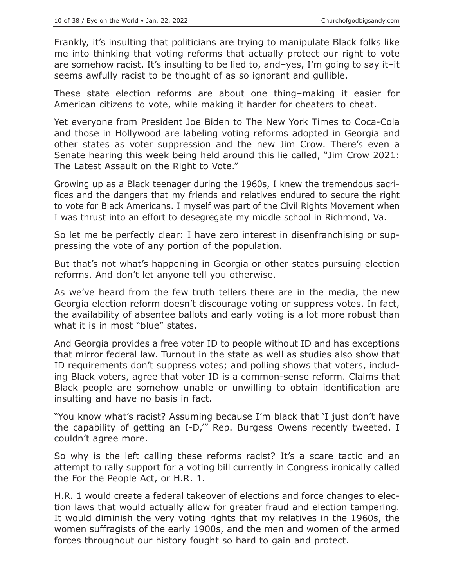Frankly, it's insulting that politicians are trying to manipulate Black folks like me into thinking that voting reforms that actually protect our right to vote are somehow racist. It's insulting to be lied to, and–yes, I'm going to say it–it seems awfully racist to be thought of as so ignorant and gullible.

These state election reforms are about one thing–making it easier for American citizens to vote, while making it harder for cheaters to cheat.

Yet everyone from President Joe Biden to The New York Times to Coca-Cola and those in Hollywood are labeling voting reforms adopted in Georgia and other states as voter suppression and the new Jim Crow. There's even a Senate hearing this week being held around this lie called, "Jim Crow 2021: The Latest Assault on the Right to Vote."

Growing up as a Black teenager during the 1960s, I knew the tremendous sacrifices and the dangers that my friends and relatives endured to secure the right to vote for Black Americans. I myself was part of the Civil Rights Movement when I was thrust into an effort to desegregate my middle school in Richmond, Va.

So let me be perfectly clear: I have zero interest in disenfranchising or suppressing the vote of any portion of the population.

But that's not what's happening in Georgia or other states pursuing election reforms. And don't let anyone tell you otherwise.

As we've heard from the few truth tellers there are in the media, the new Georgia election reform doesn't discourage voting or suppress votes. In fact, the availability of absentee ballots and early voting is a lot more robust than what it is in most "blue" states.

And Georgia provides a free voter ID to people without ID and has exceptions that mirror federal law. Turnout in the state as well as studies also show that ID requirements don't suppress votes; and polling shows that voters, including Black voters, agree that voter ID is a common-sense reform. Claims that Black people are somehow unable or unwilling to obtain identification are insulting and have no basis in fact.

"You know what's racist? Assuming because I'm black that 'I just don't have the capability of getting an I-D,'" Rep. Burgess Owens recently tweeted. I couldn't agree more.

So why is the left calling these reforms racist? It's a scare tactic and an attempt to rally support for a voting bill currently in Congress ironically called the For the People Act, or H.R. 1.

H.R. 1 would create a federal takeover of elections and force changes to election laws that would actually allow for greater fraud and election tampering. It would diminish the very voting rights that my relatives in the 1960s, the women suffragists of the early 1900s, and the men and women of the armed forces throughout our history fought so hard to gain and protect.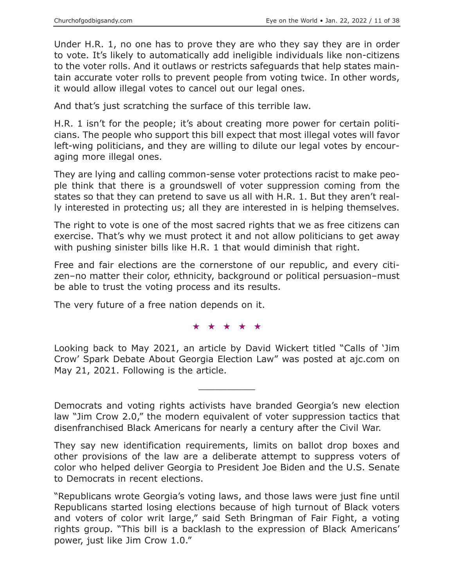Under H.R. 1, no one has to prove they are who they say they are in order to vote. It's likely to automatically add ineligible individuals like non-citizens to the voter rolls. And it outlaws or restricts safeguards that help states maintain accurate voter rolls to prevent people from voting twice. In other words, it would allow illegal votes to cancel out our legal ones.

And that's just scratching the surface of this terrible law.

H.R. 1 isn't for the people; it's about creating more power for certain politicians. The people who support this bill expect that most illegal votes will favor left-wing politicians, and they are willing to dilute our legal votes by encouraging more illegal ones.

They are lying and calling common-sense voter protections racist to make people think that there is a groundswell of voter suppression coming from the states so that they can pretend to save us all with H.R. 1. But they aren't really interested in protecting us; all they are interested in is helping themselves.

The right to vote is one of the most sacred rights that we as free citizens can exercise. That's why we must protect it and not allow politicians to get away with pushing sinister bills like H.R. 1 that would diminish that right.

Free and fair elections are the cornerstone of our republic, and every citizen–no matter their color, ethnicity, background or political persuasion–must be able to trust the voting process and its results.

The very future of a free nation depends on it.

#### ★★★★★

Looking back to May 2021, an article by David Wickert titled "Calls of 'Jim Crow' Spark Debate About Georgia Election Law" was posted at ajc.com on May 21, 2021. Following is the article.

 $\overline{\phantom{a}}$  , where  $\overline{\phantom{a}}$ 

Democrats and voting rights activists have branded Georgia's new election law "Jim Crow 2.0," the modern equivalent of voter suppression tactics that disenfranchised Black Americans for nearly a century after the Civil War.

They say new identification requirements, limits on ballot drop boxes and other provisions of the law are a deliberate attempt to suppress voters of color who helped deliver Georgia to President Joe Biden and the U.S. Senate to Democrats in recent elections.

"Republicans wrote Georgia's voting laws, and those laws were just fine until Republicans started losing elections because of high turnout of Black voters and voters of color writ large," said Seth Bringman of Fair Fight, a voting rights group. "This bill is a backlash to the expression of Black Americans' power, just like Jim Crow 1.0."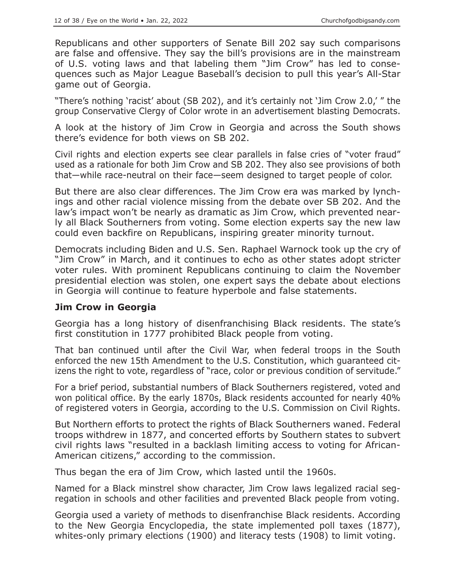Republicans and other supporters of Senate Bill 202 say such comparisons are false and offensive. They say the bill's provisions are in the mainstream of U.S. voting laws and that labeling them "Jim Crow" has led to consequences such as Major League Baseball's decision to pull this year's All-Star game out of Georgia.

"There's nothing 'racist' about (SB 202), and it's certainly not 'Jim Crow 2.0,' " the group Conservative Clergy of Color wrote in an advertisement blasting Democrats.

A look at the history of Jim Crow in Georgia and across the South shows there's evidence for both views on SB 202.

Civil rights and election experts see clear parallels in false cries of "voter fraud" used as a rationale for both Jim Crow and SB 202. They also see provisions of both that—while race-neutral on their face—seem designed to target people of color.

But there are also clear differences. The Jim Crow era was marked by lynchings and other racial violence missing from the debate over SB 202. And the law's impact won't be nearly as dramatic as Jim Crow, which prevented nearly all Black Southerners from voting. Some election experts say the new law could even backfire on Republicans, inspiring greater minority turnout.

Democrats including Biden and U.S. Sen. Raphael Warnock took up the cry of "Jim Crow" in March, and it continues to echo as other states adopt stricter voter rules. With prominent Republicans continuing to claim the November presidential election was stolen, one expert says the debate about elections in Georgia will continue to feature hyperbole and false statements.

# **Jim Crow in Georgia**

Georgia has a long history of disenfranchising Black residents. The state's first constitution in 1777 prohibited Black people from voting.

That ban continued until after the Civil War, when federal troops in the South enforced the new 15th Amendment to the U.S. Constitution, which guaranteed citizens the right to vote, regardless of "race, color or previous condition of servitude."

For a brief period, substantial numbers of Black Southerners registered, voted and won political office. By the early 1870s, Black residents accounted for nearly 40% of registered voters in Georgia, according to the U.S. Commission on Civil Rights.

But Northern efforts to protect the rights of Black Southerners waned. Federal troops withdrew in 1877, and concerted efforts by Southern states to subvert civil rights laws "resulted in a backlash limiting access to voting for African-American citizens," according to the commission.

Thus began the era of Jim Crow, which lasted until the 1960s.

Named for a Black minstrel show character, Jim Crow laws legalized racial segregation in schools and other facilities and prevented Black people from voting.

Georgia used a variety of methods to disenfranchise Black residents. According to the New Georgia Encyclopedia, the state implemented poll taxes (1877), whites-only primary elections (1900) and literacy tests (1908) to limit voting.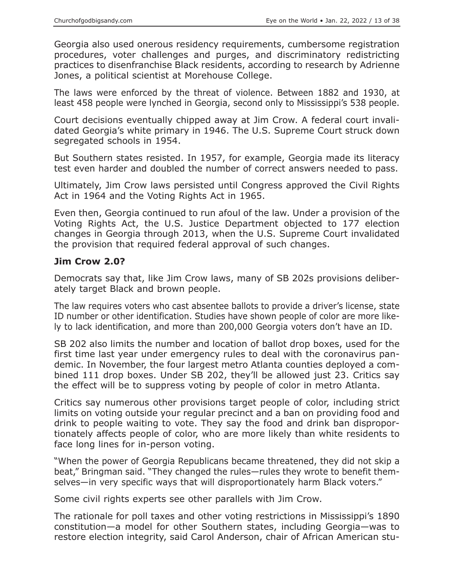Georgia also used onerous residency requirements, cumbersome registration procedures, voter challenges and purges, and discriminatory redistricting practices to disenfranchise Black residents, according to research by Adrienne Jones, a political scientist at Morehouse College.

The laws were enforced by the threat of violence. Between 1882 and 1930, at least 458 people were lynched in Georgia, second only to Mississippi's 538 people.

Court decisions eventually chipped away at Jim Crow. A federal court invalidated Georgia's white primary in 1946. The U.S. Supreme Court struck down segregated schools in 1954.

But Southern states resisted. In 1957, for example, Georgia made its literacy test even harder and doubled the number of correct answers needed to pass.

Ultimately, Jim Crow laws persisted until Congress approved the Civil Rights Act in 1964 and the Voting Rights Act in 1965.

Even then, Georgia continued to run afoul of the law. Under a provision of the Voting Rights Act, the U.S. Justice Department objected to 177 election changes in Georgia through 2013, when the U.S. Supreme Court invalidated the provision that required federal approval of such changes.

# **Jim Crow 2.0?**

Democrats say that, like Jim Crow laws, many of SB 202s provisions deliberately target Black and brown people.

The law requires voters who cast absentee ballots to provide a driver's license, state ID number or other identification. Studies have shown people of color are more likely to lack identification, and more than 200,000 Georgia voters don't have an ID.

SB 202 also limits the number and location of ballot drop boxes, used for the first time last year under emergency rules to deal with the coronavirus pandemic. In November, the four largest metro Atlanta counties deployed a combined 111 drop boxes. Under SB 202, they'll be allowed just 23. Critics say the effect will be to suppress voting by people of color in metro Atlanta.

Critics say numerous other provisions target people of color, including strict limits on voting outside your regular precinct and a ban on providing food and drink to people waiting to vote. They say the food and drink ban disproportionately affects people of color, who are more likely than white residents to face long lines for in-person voting.

"When the power of Georgia Republicans became threatened, they did not skip a beat," Bringman said. "They changed the rules—rules they wrote to benefit themselves—in very specific ways that will disproportionately harm Black voters."

Some civil rights experts see other parallels with Jim Crow.

The rationale for poll taxes and other voting restrictions in Mississippi's 1890 constitution—a model for other Southern states, including Georgia—was to restore election integrity, said Carol Anderson, chair of African American stu-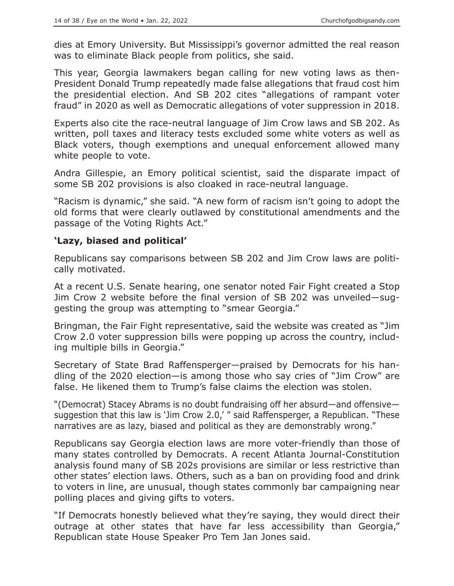dies at Emory University. But Mississippi's governor admitted the real reason was to eliminate Black people from politics, she said.

This year, Georgia lawmakers began calling for new voting laws as then-President Donald Trump repeatedly made false allegations that fraud cost him the presidential election. And SB 202 cites "allegations of rampant voter fraud" in 2020 as well as Democratic allegations of voter suppression in 2018.

Experts also cite the race-neutral language of Jim Crow laws and SB 202. As written, poll taxes and literacy tests excluded some white voters as well as Black voters, though exemptions and unequal enforcement allowed many white people to vote.

Andra Gillespie, an Emory political scientist, said the disparate impact of some SB 202 provisions is also cloaked in race-neutral language.

"Racism is dynamic," she said. "A new form of racism isn't going to adopt the old forms that were clearly outlawed by constitutional amendments and the passage of the Voting Rights Act."

# **'Lazy, biased and political'**

Republicans say comparisons between SB 202 and Jim Crow laws are politically motivated.

At a recent U.S. Senate hearing, one senator noted Fair Fight created a Stop Jim Crow 2 website before the final version of SB 202 was unveiled—suggesting the group was attempting to "smear Georgia."

Bringman, the Fair Fight representative, said the website was created as "Jim Crow 2.0 voter suppression bills were popping up across the country, including multiple bills in Georgia."

Secretary of State Brad Raffensperger—praised by Democrats for his handling of the 2020 election—is among those who say cries of "Jim Crow" are false. He likened them to Trump's false claims the election was stolen.

"(Democrat) Stacey Abrams is no doubt fundraising off her absurd—and offensive suggestion that this law is 'Jim Crow 2.0,' " said Raffensperger, a Republican. "These narratives are as lazy, biased and political as they are demonstrably wrong."

Republicans say Georgia election laws are more voter-friendly than those of many states controlled by Democrats. A recent Atlanta Journal-Constitution analysis found many of SB 202s provisions are similar or less restrictive than other states' election laws. Others, such as a ban on providing food and drink to voters in line, are unusual, though states commonly bar campaigning near polling places and giving gifts to voters.

"If Democrats honestly believed what they're saying, they would direct their outrage at other states that have far less accessibility than Georgia," Republican state House Speaker Pro Tem Jan Jones said.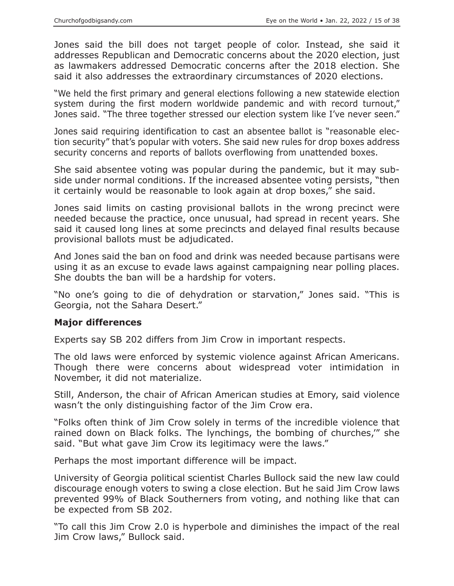Jones said the bill does not target people of color. Instead, she said it addresses Republican and Democratic concerns about the 2020 election, just as lawmakers addressed Democratic concerns after the 2018 election. She said it also addresses the extraordinary circumstances of 2020 elections.

"We held the first primary and general elections following a new statewide election system during the first modern worldwide pandemic and with record turnout," Jones said. "The three together stressed our election system like I've never seen."

Jones said requiring identification to cast an absentee ballot is "reasonable election security" that's popular with voters. She said new rules for drop boxes address security concerns and reports of ballots overflowing from unattended boxes.

She said absentee voting was popular during the pandemic, but it may subside under normal conditions. If the increased absentee voting persists, "then it certainly would be reasonable to look again at drop boxes," she said.

Jones said limits on casting provisional ballots in the wrong precinct were needed because the practice, once unusual, had spread in recent years. She said it caused long lines at some precincts and delayed final results because provisional ballots must be adjudicated.

And Jones said the ban on food and drink was needed because partisans were using it as an excuse to evade laws against campaigning near polling places. She doubts the ban will be a hardship for voters.

"No one's going to die of dehydration or starvation," Jones said. "This is Georgia, not the Sahara Desert."

# **Major differences**

Experts say SB 202 differs from Jim Crow in important respects.

The old laws were enforced by systemic violence against African Americans. Though there were concerns about widespread voter intimidation in November, it did not materialize.

Still, Anderson, the chair of African American studies at Emory, said violence wasn't the only distinguishing factor of the Jim Crow era.

"Folks often think of Jim Crow solely in terms of the incredible violence that rained down on Black folks. The lynchings, the bombing of churches,'" she said. "But what gave Jim Crow its legitimacy were the laws."

Perhaps the most important difference will be impact.

University of Georgia political scientist Charles Bullock said the new law could discourage enough voters to swing a close election. But he said Jim Crow laws prevented 99% of Black Southerners from voting, and nothing like that can be expected from SB 202.

"To call this Jim Crow 2.0 is hyperbole and diminishes the impact of the real Jim Crow laws," Bullock said.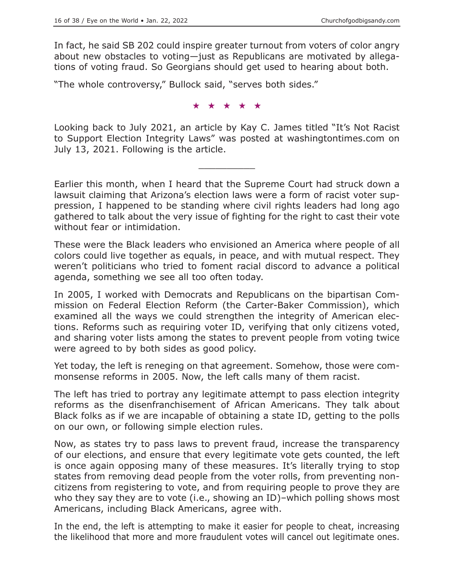In fact, he said SB 202 could inspire greater turnout from voters of color angry about new obstacles to voting—just as Republicans are motivated by allegations of voting fraud. So Georgians should get used to hearing about both.

"The whole controversy," Bullock said, "serves both sides."

★★★★★

Looking back to July 2021, an article by Kay C. James titled "It's Not Racist to Support Election Integrity Laws" was posted at washingtontimes.com on July 13, 2021. Following is the article.

 $\overline{\phantom{a}}$  , where  $\overline{\phantom{a}}$ 

Earlier this month, when I heard that the Supreme Court had struck down a lawsuit claiming that Arizona's election laws were a form of racist voter suppression, I happened to be standing where civil rights leaders had long ago gathered to talk about the very issue of fighting for the right to cast their vote without fear or intimidation.

These were the Black leaders who envisioned an America where people of all colors could live together as equals, in peace, and with mutual respect. They weren't politicians who tried to foment racial discord to advance a political agenda, something we see all too often today.

In 2005, I worked with Democrats and Republicans on the bipartisan Commission on Federal Election Reform (the Carter-Baker Commission), which examined all the ways we could strengthen the integrity of American elections. Reforms such as requiring voter ID, verifying that only citizens voted, and sharing voter lists among the states to prevent people from voting twice were agreed to by both sides as good policy.

Yet today, the left is reneging on that agreement. Somehow, those were commonsense reforms in 2005. Now, the left calls many of them racist.

The left has tried to portray any legitimate attempt to pass election integrity reforms as the disenfranchisement of African Americans. They talk about Black folks as if we are incapable of obtaining a state ID, getting to the polls on our own, or following simple election rules.

Now, as states try to pass laws to prevent fraud, increase the transparency of our elections, and ensure that every legitimate vote gets counted, the left is once again opposing many of these measures. It's literally trying to stop states from removing dead people from the voter rolls, from preventing noncitizens from registering to vote, and from requiring people to prove they are who they say they are to vote (i.e., showing an ID)–which polling shows most Americans, including Black Americans, agree with.

In the end, the left is attempting to make it easier for people to cheat, increasing the likelihood that more and more fraudulent votes will cancel out legitimate ones.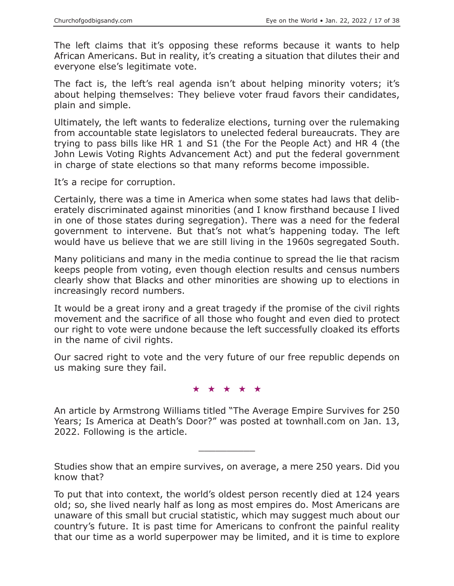The left claims that it's opposing these reforms because it wants to help African Americans. But in reality, it's creating a situation that dilutes their and everyone else's legitimate vote.

The fact is, the left's real agenda isn't about helping minority voters; it's about helping themselves: They believe voter fraud favors their candidates, plain and simple.

Ultimately, the left wants to federalize elections, turning over the rulemaking from accountable state legislators to unelected federal bureaucrats. They are trying to pass bills like HR 1 and S1 (the For the People Act) and HR 4 (the John Lewis Voting Rights Advancement Act) and put the federal government in charge of state elections so that many reforms become impossible.

It's a recipe for corruption.

Certainly, there was a time in America when some states had laws that deliberately discriminated against minorities (and I know firsthand because I lived in one of those states during segregation). There was a need for the federal government to intervene. But that's not what's happening today. The left would have us believe that we are still living in the 1960s segregated South.

Many politicians and many in the media continue to spread the lie that racism keeps people from voting, even though election results and census numbers clearly show that Blacks and other minorities are showing up to elections in increasingly record numbers.

It would be a great irony and a great tragedy if the promise of the civil rights movement and the sacrifice of all those who fought and even died to protect our right to vote were undone because the left successfully cloaked its efforts in the name of civil rights.

Our sacred right to vote and the very future of our free republic depends on us making sure they fail.

★★★★★

An article by Armstrong Williams titled "The Average Empire Survives for 250 Years; Is America at Death's Door?" was posted at townhall.com on Jan. 13, 2022. Following is the article.

Studies show that an empire survives, on average, a mere 250 years. Did you know that?

 $\overline{\phantom{a}}$  , where  $\overline{\phantom{a}}$ 

To put that into context, the world's oldest person recently died at 124 years old; so, she lived nearly half as long as most empires do. Most Americans are unaware of this small but crucial statistic, which may suggest much about our country's future. It is past time for Americans to confront the painful reality that our time as a world superpower may be limited, and it is time to explore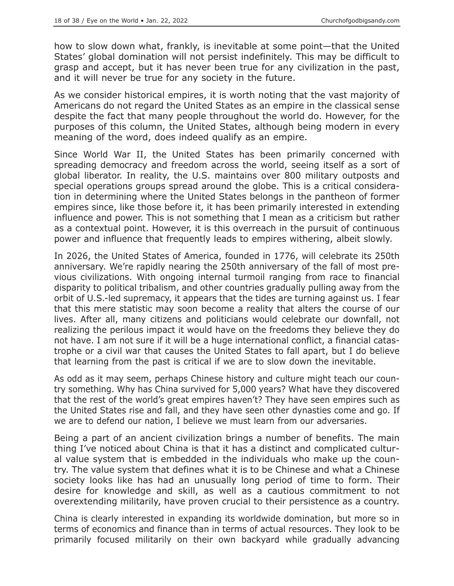how to slow down what, frankly, is inevitable at some point—that the United States' global domination will not persist indefinitely. This may be difficult to grasp and accept, but it has never been true for any civilization in the past, and it will never be true for any society in the future.

As we consider historical empires, it is worth noting that the vast majority of Americans do not regard the United States as an empire in the classical sense despite the fact that many people throughout the world do. However, for the purposes of this column, the United States, although being modern in every meaning of the word, does indeed qualify as an empire.

Since World War II, the United States has been primarily concerned with spreading democracy and freedom across the world, seeing itself as a sort of global liberator. In reality, the U.S. maintains over 800 military outposts and special operations groups spread around the globe. This is a critical consideration in determining where the United States belongs in the pantheon of former empires since, like those before it, it has been primarily interested in extending influence and power. This is not something that I mean as a criticism but rather as a contextual point. However, it is this overreach in the pursuit of continuous power and influence that frequently leads to empires withering, albeit slowly.

In 2026, the United States of America, founded in 1776, will celebrate its 250th anniversary. We're rapidly nearing the 250th anniversary of the fall of most previous civilizations. With ongoing internal turmoil ranging from race to financial disparity to political tribalism, and other countries gradually pulling away from the orbit of U.S.-led supremacy, it appears that the tides are turning against us. I fear that this mere statistic may soon become a reality that alters the course of our lives. After all, many citizens and politicians would celebrate our downfall, not realizing the perilous impact it would have on the freedoms they believe they do not have. I am not sure if it will be a huge international conflict, a financial catastrophe or a civil war that causes the United States to fall apart, but I do believe that learning from the past is critical if we are to slow down the inevitable.

As odd as it may seem, perhaps Chinese history and culture might teach our country something. Why has China survived for 5,000 years? What have they discovered that the rest of the world's great empires haven't? They have seen empires such as the United States rise and fall, and they have seen other dynasties come and go. If we are to defend our nation, I believe we must learn from our adversaries.

Being a part of an ancient civilization brings a number of benefits. The main thing I've noticed about China is that it has a distinct and complicated cultural value system that is embedded in the individuals who make up the country. The value system that defines what it is to be Chinese and what a Chinese society looks like has had an unusually long period of time to form. Their desire for knowledge and skill, as well as a cautious commitment to not overextending militarily, have proven crucial to their persistence as a country.

China is clearly interested in expanding its worldwide domination, but more so in terms of economics and finance than in terms of actual resources. They look to be primarily focused militarily on their own backyard while gradually advancing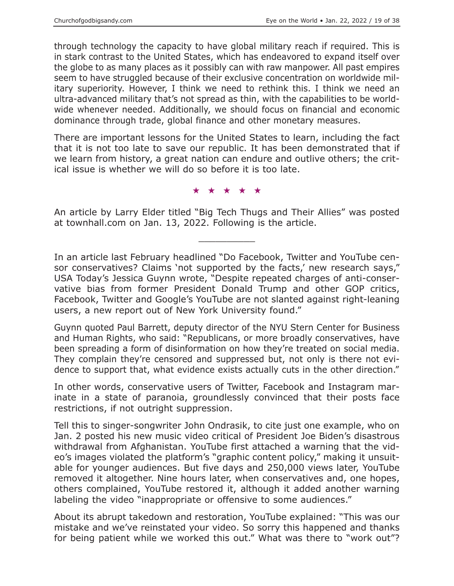through technology the capacity to have global military reach if required. This is in stark contrast to the United States, which has endeavored to expand itself over the globe to as many places as it possibly can with raw manpower. All past empires seem to have struggled because of their exclusive concentration on worldwide military superiority. However, I think we need to rethink this. I think we need an ultra-advanced military that's not spread as thin, with the capabilities to be worldwide whenever needed. Additionally, we should focus on financial and economic dominance through trade, global finance and other monetary measures.

There are important lessons for the United States to learn, including the fact that it is not too late to save our republic. It has been demonstrated that if we learn from history, a great nation can endure and outlive others; the critical issue is whether we will do so before it is too late.

★★★★★

An article by Larry Elder titled "Big Tech Thugs and Their Allies" was posted at townhall.com on Jan. 13, 2022. Following is the article.

 $\overline{\phantom{a}}$  , where  $\overline{\phantom{a}}$ 

In an article last February headlined "Do Facebook, Twitter and YouTube censor conservatives? Claims 'not supported by the facts,' new research says," USA Today's Jessica Guynn wrote, "Despite repeated charges of anti-conservative bias from former President Donald Trump and other GOP critics, Facebook, Twitter and Google's YouTube are not slanted against right-leaning users, a new report out of New York University found."

Guynn quoted Paul Barrett, deputy director of the NYU Stern Center for Business and Human Rights, who said: "Republicans, or more broadly conservatives, have been spreading a form of disinformation on how they're treated on social media. They complain they're censored and suppressed but, not only is there not evidence to support that, what evidence exists actually cuts in the other direction."

In other words, conservative users of Twitter, Facebook and Instagram marinate in a state of paranoia, groundlessly convinced that their posts face restrictions, if not outright suppression.

Tell this to singer-songwriter John Ondrasik, to cite just one example, who on Jan. 2 posted his new music video critical of President Joe Biden's disastrous withdrawal from Afghanistan. YouTube first attached a warning that the video's images violated the platform's "graphic content policy," making it unsuitable for younger audiences. But five days and 250,000 views later, YouTube removed it altogether. Nine hours later, when conservatives and, one hopes, others complained, YouTube restored it, although it added another warning labeling the video "inappropriate or offensive to some audiences."

About its abrupt takedown and restoration, YouTube explained: "This was our mistake and we've reinstated your video. So sorry this happened and thanks for being patient while we worked this out." What was there to "work out"?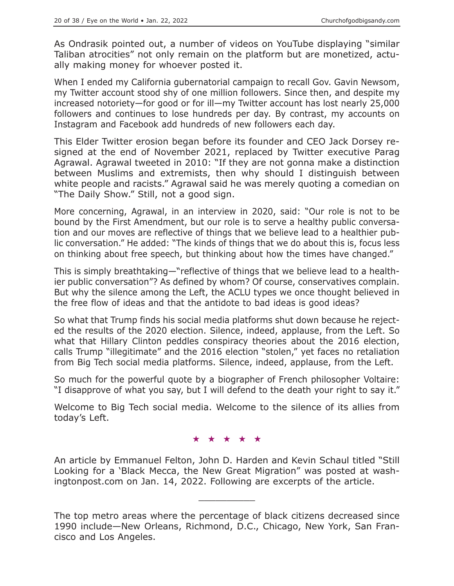As Ondrasik pointed out, a number of videos on YouTube displaying "similar Taliban atrocities" not only remain on the platform but are monetized, actually making money for whoever posted it.

When I ended my California gubernatorial campaign to recall Gov. Gavin Newsom, my Twitter account stood shy of one million followers. Since then, and despite my increased notoriety—for good or for ill—my Twitter account has lost nearly 25,000 followers and continues to lose hundreds per day. By contrast, my accounts on Instagram and Facebook add hundreds of new followers each day.

This Elder Twitter erosion began before its founder and CEO Jack Dorsey resigned at the end of November 2021, replaced by Twitter executive Parag Agrawal. Agrawal tweeted in 2010: "If they are not gonna make a distinction between Muslims and extremists, then why should I distinguish between white people and racists." Agrawal said he was merely quoting a comedian on "The Daily Show." Still, not a good sign.

More concerning, Agrawal, in an interview in 2020, said: "Our role is not to be bound by the First Amendment, but our role is to serve a healthy public conversation and our moves are reflective of things that we believe lead to a healthier public conversation." He added: "The kinds of things that we do about this is, focus less on thinking about free speech, but thinking about how the times have changed."

This is simply breathtaking—"reflective of things that we believe lead to a healthier public conversation"? As defined by whom? Of course, conservatives complain. But why the silence among the Left, the ACLU types we once thought believed in the free flow of ideas and that the antidote to bad ideas is good ideas?

So what that Trump finds his social media platforms shut down because he rejected the results of the 2020 election. Silence, indeed, applause, from the Left. So what that Hillary Clinton peddles conspiracy theories about the 2016 election, calls Trump "illegitimate" and the 2016 election "stolen," yet faces no retaliation from Big Tech social media platforms. Silence, indeed, applause, from the Left.

So much for the powerful quote by a biographer of French philosopher Voltaire: "I disapprove of what you say, but I will defend to the death your right to say it."

Welcome to Big Tech social media. Welcome to the silence of its allies from today's Left.

★★★★★

An article by Emmanuel Felton, John D. Harden and Kevin Schaul titled "Still Looking for a 'Black Mecca, the New Great Migration" was posted at washingtonpost.com on Jan. 14, 2022. Following are excerpts of the article.

 $\overline{\phantom{a}}$  , where  $\overline{\phantom{a}}$ 

The top metro areas where the percentage of black citizens decreased since 1990 include—New Orleans, Richmond, D.C., Chicago, New York, San Francisco and Los Angeles.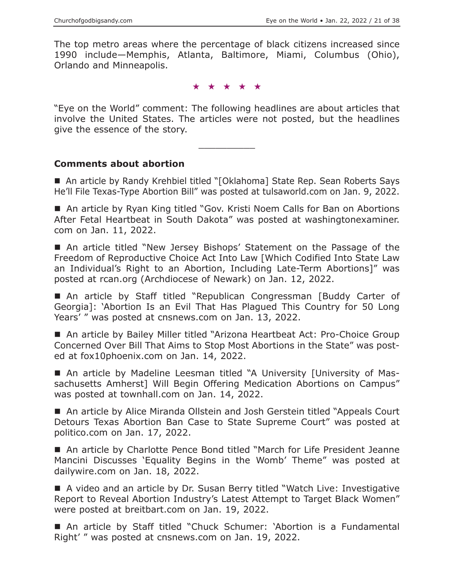The top metro areas where the percentage of black citizens increased since 1990 include—Memphis, Atlanta, Baltimore, Miami, Columbus (Ohio), Orlando and Minneapolis.

★★★★★

"Eye on the World" comment: The following headlines are about articles that involve the United States. The articles were not posted, but the headlines give the essence of the story.

 $\overline{\phantom{a}}$  , where  $\overline{\phantom{a}}$ 

#### **Comments about abortion**

■ An article by Randy Krehbiel titled "[Oklahoma] State Rep. Sean Roberts Says He'll File Texas-Type Abortion Bill" was posted at tulsaworld.com on Jan. 9, 2022.

■ An article by Ryan King titled "Gov. Kristi Noem Calls for Ban on Abortions After Fetal Heartbeat in South Dakota" was posted at washingtonexaminer. com on Jan. 11, 2022.

 An article titled "New Jersey Bishops' Statement on the Passage of the Freedom of Reproductive Choice Act Into Law [Which Codified Into State Law an Individual's Right to an Abortion, Including Late-Term Abortions]" was posted at rcan.org (Archdiocese of Newark) on Jan. 12, 2022.

 An article by Staff titled "Republican Congressman [Buddy Carter of Georgia]: 'Abortion Is an Evil That Has Plagued This Country for 50 Long Years' " was posted at cnsnews.com on Jan. 13, 2022.

■ An article by Bailey Miller titled "Arizona Heartbeat Act: Pro-Choice Group Concerned Over Bill That Aims to Stop Most Abortions in the State" was posted at fox10phoenix.com on Jan. 14, 2022.

 An article by Madeline Leesman titled "A University [University of Massachusetts Amherst] Will Begin Offering Medication Abortions on Campus" was posted at townhall.com on Jan. 14, 2022.

■ An article by Alice Miranda Ollstein and Josh Gerstein titled "Appeals Court Detours Texas Abortion Ban Case to State Supreme Court" was posted at politico.com on Jan. 17, 2022.

■ An article by Charlotte Pence Bond titled "March for Life President Jeanne Mancini Discusses 'Equality Begins in the Womb' Theme" was posted at dailywire.com on Jan. 18, 2022.

 A video and an article by Dr. Susan Berry titled "Watch Live: Investigative Report to Reveal Abortion Industry's Latest Attempt to Target Black Women" were posted at breitbart.com on Jan. 19, 2022.

 An article by Staff titled "Chuck Schumer: 'Abortion is a Fundamental Right' " was posted at cnsnews.com on Jan. 19, 2022.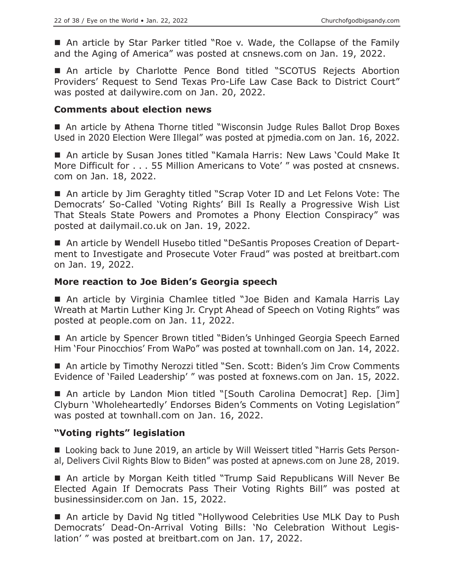■ An article by Star Parker titled "Roe v. Wade, the Collapse of the Family and the Aging of America" was posted at cnsnews.com on Jan. 19, 2022.

 An article by Charlotte Pence Bond titled "SCOTUS Rejects Abortion Providers' Request to Send Texas Pro-Life Law Case Back to District Court" was posted at dailywire.com on Jan. 20, 2022.

#### **Comments about election news**

■ An article by Athena Thorne titled "Wisconsin Judge Rules Ballot Drop Boxes Used in 2020 Election Were Illegal" was posted at pjmedia.com on Jan. 16, 2022.

■ An article by Susan Jones titled "Kamala Harris: New Laws 'Could Make It More Difficult for . . . 55 Million Americans to Vote' " was posted at cnsnews. com on Jan. 18, 2022.

■ An article by Jim Geraghty titled "Scrap Voter ID and Let Felons Vote: The Democrats' So-Called 'Voting Rights' Bill Is Really a Progressive Wish List That Steals State Powers and Promotes a Phony Election Conspiracy" was posted at dailymail.co.uk on Jan. 19, 2022.

■ An article by Wendell Husebo titled "DeSantis Proposes Creation of Department to Investigate and Prosecute Voter Fraud" was posted at breitbart.com on Jan. 19, 2022.

#### **More reaction to Joe Biden's Georgia speech**

■ An article by Virginia Chamlee titled "Joe Biden and Kamala Harris Lay Wreath at Martin Luther King Jr. Crypt Ahead of Speech on Voting Rights" was posted at people.com on Jan. 11, 2022.

■ An article by Spencer Brown titled "Biden's Unhinged Georgia Speech Earned Him 'Four Pinocchios' From WaPo" was posted at townhall.com on Jan. 14, 2022.

■ An article by Timothy Nerozzi titled "Sen. Scott: Biden's Jim Crow Comments Evidence of 'Failed Leadership' " was posted at foxnews.com on Jan. 15, 2022.

■ An article by Landon Mion titled "[South Carolina Democrat] Rep. [Jim] Clyburn 'Wholeheartedly' Endorses Biden's Comments on Voting Legislation" was posted at townhall.com on Jan. 16, 2022.

# **"Voting rights" legislation**

■ Looking back to June 2019, an article by Will Weissert titled "Harris Gets Personal, Delivers Civil Rights Blow to Biden" was posted at apnews.com on June 28, 2019.

 An article by Morgan Keith titled "Trump Said Republicans Will Never Be Elected Again If Democrats Pass Their Voting Rights Bill" was posted at businessinsider.com on Jan. 15, 2022.

■ An article by David Ng titled "Hollywood Celebrities Use MLK Day to Push Democrats' Dead-On-Arrival Voting Bills: 'No Celebration Without Legislation' " was posted at breitbart.com on Jan. 17, 2022.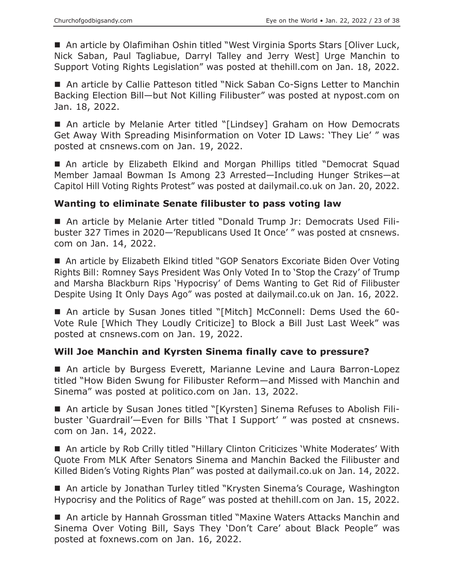■ An article by Olafimihan Oshin titled "West Virginia Sports Stars [Oliver Luck, Nick Saban, Paul Tagliabue, Darryl Talley and Jerry West] Urge Manchin to Support Voting Rights Legislation" was posted at thehill.com on Jan. 18, 2022.

■ An article by Callie Patteson titled "Nick Saban Co-Signs Letter to Manchin Backing Election Bill—but Not Killing Filibuster" was posted at nypost.com on Jan. 18, 2022.

■ An article by Melanie Arter titled "[Lindsey] Graham on How Democrats Get Away With Spreading Misinformation on Voter ID Laws: 'They Lie' " was posted at cnsnews.com on Jan. 19, 2022.

■ An article by Elizabeth Elkind and Morgan Phillips titled "Democrat Squad Member Jamaal Bowman Is Among 23 Arrested—Including Hunger Strikes—at Capitol Hill Voting Rights Protest" was posted at dailymail.co.uk on Jan. 20, 2022.

# **Wanting to eliminate Senate filibuster to pass voting law**

 An article by Melanie Arter titled "Donald Trump Jr: Democrats Used Filibuster 327 Times in 2020—'Republicans Used It Once' " was posted at cnsnews. com on Jan. 14, 2022.

■ An article by Elizabeth Elkind titled "GOP Senators Excoriate Biden Over Voting Rights Bill: Romney Says President Was Only Voted In to 'Stop the Crazy' of Trump and Marsha Blackburn Rips 'Hypocrisy' of Dems Wanting to Get Rid of Filibuster Despite Using It Only Days Ago" was posted at dailymail.co.uk on Jan. 16, 2022.

 An article by Susan Jones titled "[Mitch] McConnell: Dems Used the 60- Vote Rule [Which They Loudly Criticize] to Block a Bill Just Last Week" was posted at cnsnews.com on Jan. 19, 2022.

# **Will Joe Manchin and Kyrsten Sinema finally cave to pressure?**

 An article by Burgess Everett, Marianne Levine and Laura Barron-Lopez titled "How Biden Swung for Filibuster Reform—and Missed with Manchin and Sinema" was posted at politico.com on Jan. 13, 2022.

■ An article by Susan Jones titled "[Kyrsten] Sinema Refuses to Abolish Filibuster 'Guardrail'—Even for Bills 'That I Support' " was posted at cnsnews. com on Jan. 14, 2022.

■ An article by Rob Crilly titled "Hillary Clinton Criticizes 'White Moderates' With Quote From MLK After Senators Sinema and Manchin Backed the Filibuster and Killed Biden's Voting Rights Plan" was posted at dailymail.co.uk on Jan. 14, 2022.

■ An article by Jonathan Turley titled "Krysten Sinema's Courage, Washington Hypocrisy and the Politics of Rage" was posted at thehill.com on Jan. 15, 2022.

■ An article by Hannah Grossman titled "Maxine Waters Attacks Manchin and Sinema Over Voting Bill, Says They 'Don't Care' about Black People" was posted at foxnews.com on Jan. 16, 2022.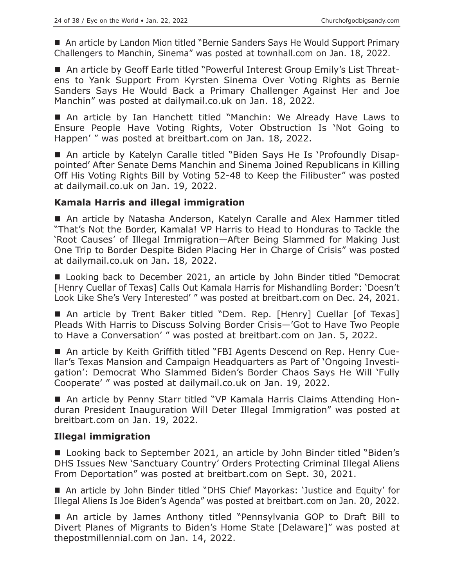■ An article by Landon Mion titled "Bernie Sanders Says He Would Support Primary Challengers to Manchin, Sinema" was posted at townhall.com on Jan. 18, 2022.

■ An article by Geoff Earle titled "Powerful Interest Group Emily's List Threatens to Yank Support From Kyrsten Sinema Over Voting Rights as Bernie Sanders Says He Would Back a Primary Challenger Against Her and Joe Manchin" was posted at dailymail.co.uk on Jan. 18, 2022.

■ An article by Ian Hanchett titled "Manchin: We Already Have Laws to Ensure People Have Voting Rights, Voter Obstruction Is 'Not Going to Happen' " was posted at breitbart.com on Jan. 18, 2022.

 An article by Katelyn Caralle titled "Biden Says He Is 'Profoundly Disappointed' After Senate Dems Manchin and Sinema Joined Republicans in Killing Off His Voting Rights Bill by Voting 52-48 to Keep the Filibuster" was posted at dailymail.co.uk on Jan. 19, 2022.

# **Kamala Harris and illegal immigration**

 An article by Natasha Anderson, Katelyn Caralle and Alex Hammer titled "That's Not the Border, Kamala! VP Harris to Head to Honduras to Tackle the 'Root Causes' of Illegal Immigration—After Being Slammed for Making Just One Trip to Border Despite Biden Placing Her in Charge of Crisis" was posted at dailymail.co.uk on Jan. 18, 2022.

■ Looking back to December 2021, an article by John Binder titled "Democrat [Henry Cuellar of Texas] Calls Out Kamala Harris for Mishandling Border: 'Doesn't Look Like She's Very Interested' " was posted at breitbart.com on Dec. 24, 2021.

An article by Trent Baker titled "Dem. Rep. [Henry] Cuellar [of Texas] Pleads With Harris to Discuss Solving Border Crisis—'Got to Have Two People to Have a Conversation' " was posted at breitbart.com on Jan. 5, 2022.

■ An article by Keith Griffith titled "FBI Agents Descend on Rep. Henry Cuellar's Texas Mansion and Campaign Headquarters as Part of 'Ongoing Investigation': Democrat Who Slammed Biden's Border Chaos Says He Will 'Fully Cooperate' " was posted at dailymail.co.uk on Jan. 19, 2022.

■ An article by Penny Starr titled "VP Kamala Harris Claims Attending Honduran President Inauguration Will Deter Illegal Immigration" was posted at breitbart.com on Jan. 19, 2022.

# **Illegal immigration**

■ Looking back to September 2021, an article by John Binder titled "Biden's DHS Issues New 'Sanctuary Country' Orders Protecting Criminal Illegal Aliens From Deportation" was posted at breitbart.com on Sept. 30, 2021.

 An article by John Binder titled "DHS Chief Mayorkas: 'Justice and Equity' for Illegal Aliens Is Joe Biden's Agenda" was posted at breitbart.com on Jan. 20, 2022.

 An article by James Anthony titled "Pennsylvania GOP to Draft Bill to Divert Planes of Migrants to Biden's Home State [Delaware]" was posted at thepostmillennial.com on Jan. 14, 2022.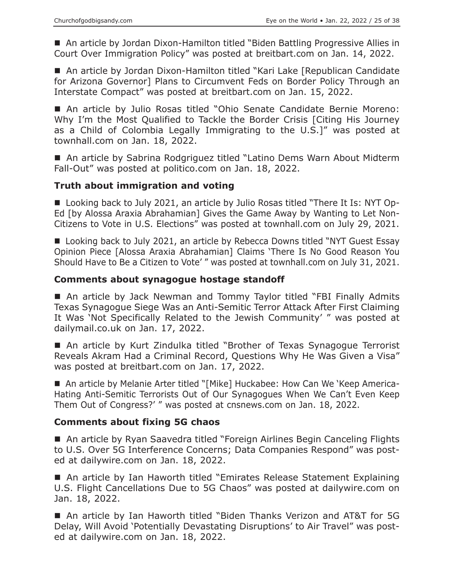■ An article by Jordan Dixon-Hamilton titled "Biden Battling Progressive Allies in Court Over Immigration Policy" was posted at breitbart.com on Jan. 14, 2022.

■ An article by Jordan Dixon-Hamilton titled "Kari Lake [Republican Candidate for Arizona Governor] Plans to Circumvent Feds on Border Policy Through an Interstate Compact" was posted at breitbart.com on Jan. 15, 2022.

 An article by Julio Rosas titled "Ohio Senate Candidate Bernie Moreno: Why I'm the Most Qualified to Tackle the Border Crisis [Citing His Journey as a Child of Colombia Legally Immigrating to the U.S.]" was posted at townhall.com on Jan. 18, 2022.

■ An article by Sabrina Rodgriguez titled "Latino Dems Warn About Midterm Fall-Out" was posted at politico.com on Jan. 18, 2022.

# **Truth about immigration and voting**

■ Looking back to July 2021, an article by Julio Rosas titled "There It Is: NYT Op-Ed [by Alossa Araxia Abrahamian] Gives the Game Away by Wanting to Let Non-Citizens to Vote in U.S. Elections" was posted at townhall.com on July 29, 2021.

■ Looking back to July 2021, an article by Rebecca Downs titled "NYT Guest Essay Opinion Piece [Alossa Araxia Abrahamian] Claims 'There Is No Good Reason You Should Have to Be a Citizen to Vote' " was posted at townhall.com on July 31, 2021.

# **Comments about synagogue hostage standoff**

 An article by Jack Newman and Tommy Taylor titled "FBI Finally Admits Texas Synagogue Siege Was an Anti-Semitic Terror Attack After First Claiming It Was 'Not Specifically Related to the Jewish Community' " was posted at dailymail.co.uk on Jan. 17, 2022.

■ An article by Kurt Zindulka titled "Brother of Texas Synagogue Terrorist Reveals Akram Had a Criminal Record, Questions Why He Was Given a Visa" was posted at breitbart.com on Jan. 17, 2022.

 An article by Melanie Arter titled "[Mike] Huckabee: How Can We 'Keep America-Hating Anti-Semitic Terrorists Out of Our Synagogues When We Can't Even Keep Them Out of Congress?' " was posted at cnsnews.com on Jan. 18, 2022.

# **Comments about fixing 5G chaos**

■ An article by Ryan Saavedra titled "Foreign Airlines Begin Canceling Flights to U.S. Over 5G Interference Concerns; Data Companies Respond" was posted at dailywire.com on Jan. 18, 2022.

■ An article by Ian Haworth titled "Emirates Release Statement Explaining U.S. Flight Cancellations Due to 5G Chaos" was posted at dailywire.com on Jan. 18, 2022.

 An article by Ian Haworth titled "Biden Thanks Verizon and AT&T for 5G Delay, Will Avoid 'Potentially Devastating Disruptions' to Air Travel" was posted at dailywire.com on Jan. 18, 2022.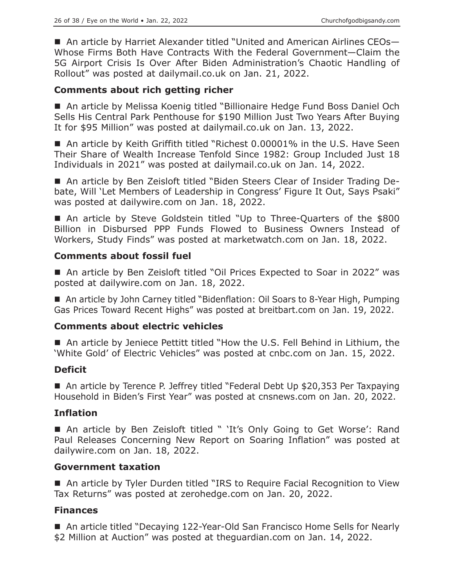■ An article by Harriet Alexander titled "United and American Airlines CEOs-Whose Firms Both Have Contracts With the Federal Government—Claim the 5G Airport Crisis Is Over After Biden Administration's Chaotic Handling of Rollout" was posted at dailymail.co.uk on Jan. 21, 2022.

# **Comments about rich getting richer**

■ An article by Melissa Koenig titled "Billionaire Hedge Fund Boss Daniel Och Sells His Central Park Penthouse for \$190 Million Just Two Years After Buying It for \$95 Million" was posted at dailymail.co.uk on Jan. 13, 2022.

■ An article by Keith Griffith titled "Richest 0.00001% in the U.S. Have Seen Their Share of Wealth Increase Tenfold Since 1982: Group Included Just 18 Individuals in 2021" was posted at dailymail.co.uk on Jan. 14, 2022.

 An article by Ben Zeisloft titled "Biden Steers Clear of Insider Trading Debate, Will 'Let Members of Leadership in Congress' Figure It Out, Says Psaki" was posted at dailywire.com on Jan. 18, 2022.

■ An article by Steve Goldstein titled "Up to Three-Quarters of the \$800 Billion in Disbursed PPP Funds Flowed to Business Owners Instead of Workers, Study Finds" was posted at marketwatch.com on Jan. 18, 2022.

# **Comments about fossil fuel**

■ An article by Ben Zeisloft titled "Oil Prices Expected to Soar in 2022" was posted at dailywire.com on Jan. 18, 2022.

■ An article by John Carney titled "Bidenflation: Oil Soars to 8-Year High, Pumping Gas Prices Toward Recent Highs" was posted at breitbart.com on Jan. 19, 2022.

# **Comments about electric vehicles**

■ An article by Jeniece Pettitt titled "How the U.S. Fell Behind in Lithium, the 'White Gold' of Electric Vehicles" was posted at cnbc.com on Jan. 15, 2022.

# **Deficit**

■ An article by Terence P. Jeffrey titled "Federal Debt Up \$20,353 Per Taxpaying Household in Biden's First Year" was posted at cnsnews.com on Jan. 20, 2022.

# **Inflation**

■ An article by Ben Zeisloft titled " 'It's Only Going to Get Worse': Rand Paul Releases Concerning New Report on Soaring Inflation" was posted at dailywire.com on Jan. 18, 2022.

# **Government taxation**

■ An article by Tyler Durden titled "IRS to Require Facial Recognition to View Tax Returns" was posted at zerohedge.com on Jan. 20, 2022.

# **Finances**

■ An article titled "Decaying 122-Year-Old San Francisco Home Sells for Nearly \$2 Million at Auction" was posted at theguardian.com on Jan. 14, 2022.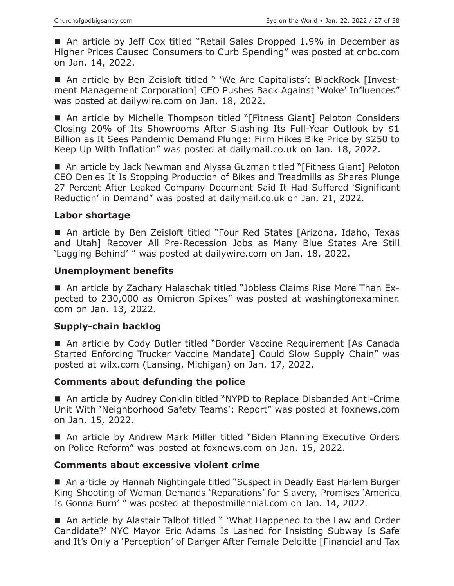■ An article by Jeff Cox titled "Retail Sales Dropped 1.9% in December as Higher Prices Caused Consumers to Curb Spending" was posted at cnbc.com on Jan. 14, 2022.

■ An article by Ben Zeisloft titled " 'We Are Capitalists': BlackRock [Investment Management Corporation] CEO Pushes Back Against 'Woke' Influences" was posted at dailywire.com on Jan. 18, 2022.

■ An article by Michelle Thompson titled "[Fitness Giant] Peloton Considers Closing 20% of Its Showrooms After Slashing Its Full-Year Outlook by \$1 Billion as It Sees Pandemic Demand Plunge: Firm Hikes Bike Price by \$250 to Keep Up With Inflation" was posted at dailymail.co.uk on Jan. 18, 2022.

■ An article by Jack Newman and Alyssa Guzman titled "[Fitness Giant] Peloton CEO Denies It Is Stopping Production of Bikes and Treadmills as Shares Plunge 27 Percent After Leaked Company Document Said It Had Suffered 'Significant Reduction' in Demand" was posted at dailymail.co.uk on Jan. 21, 2022.

#### **Labor shortage**

■ An article by Ben Zeisloft titled "Four Red States [Arizona, Idaho, Texas and Utah] Recover All Pre-Recession Jobs as Many Blue States Are Still 'Lagging Behind' " was posted at dailywire.com on Jan. 18, 2022.

#### **Unemployment benefits**

■ An article by Zachary Halaschak titled "Jobless Claims Rise More Than Expected to 230,000 as Omicron Spikes" was posted at washingtonexaminer. com on Jan. 13, 2022.

#### **Supply-chain backlog**

■ An article by Cody Butler titled "Border Vaccine Requirement [As Canada Started Enforcing Trucker Vaccine Mandate] Could Slow Supply Chain" was posted at wilx.com (Lansing, Michigan) on Jan. 17, 2022.

# **Comments about defunding the police**

■ An article by Audrey Conklin titled "NYPD to Replace Disbanded Anti-Crime Unit With 'Neighborhood Safety Teams': Report" was posted at foxnews.com on Jan. 15, 2022.

■ An article by Andrew Mark Miller titled "Biden Planning Executive Orders on Police Reform" was posted at foxnews.com on Jan. 15, 2022.

#### **Comments about excessive violent crime**

■ An article by Hannah Nightingale titled "Suspect in Deadly East Harlem Burger King Shooting of Woman Demands 'Reparations' for Slavery, Promises 'America Is Gonna Burn' " was posted at thepostmillennial.com on Jan. 14, 2022.

■ An article by Alastair Talbot titled " 'What Happened to the Law and Order Candidate?' NYC Mayor Eric Adams Is Lashed for Insisting Subway Is Safe and It's Only a 'Perception' of Danger After Female Deloitte [Financial and Tax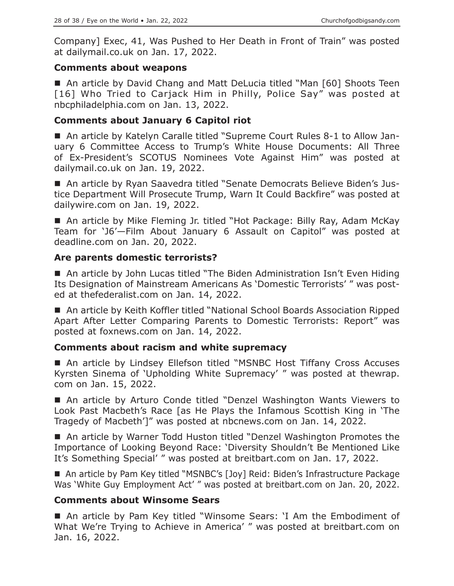Company] Exec, 41, Was Pushed to Her Death in Front of Train" was posted at dailymail.co.uk on Jan. 17, 2022.

# **Comments about weapons**

■ An article by David Chang and Matt DeLucia titled "Man [60] Shoots Teen [16] Who Tried to Carjack Him in Philly, Police Say" was posted at nbcphiladelphia.com on Jan. 13, 2022.

# **Comments about January 6 Capitol riot**

 An article by Katelyn Caralle titled "Supreme Court Rules 8-1 to Allow January 6 Committee Access to Trump's White House Documents: All Three of Ex-President's SCOTUS Nominees Vote Against Him" was posted at dailymail.co.uk on Jan. 19, 2022.

■ An article by Ryan Saavedra titled "Senate Democrats Believe Biden's Justice Department Will Prosecute Trump, Warn It Could Backfire" was posted at dailywire.com on Jan. 19, 2022.

■ An article by Mike Fleming Jr. titled "Hot Package: Billy Ray, Adam McKay Team for 'J6'—Film About January 6 Assault on Capitol" was posted at deadline.com on Jan. 20, 2022.

# **Are parents domestic terrorists?**

■ An article by John Lucas titled "The Biden Administration Isn't Even Hiding Its Designation of Mainstream Americans As 'Domestic Terrorists' " was posted at thefederalist.com on Jan. 14, 2022.

■ An article by Keith Koffler titled "National School Boards Association Ripped Apart After Letter Comparing Parents to Domestic Terrorists: Report" was posted at foxnews.com on Jan. 14, 2022.

# **Comments about racism and white supremacy**

■ An article by Lindsey Ellefson titled "MSNBC Host Tiffany Cross Accuses Kyrsten Sinema of 'Upholding White Supremacy' " was posted at thewrap. com on Jan. 15, 2022.

 An article by Arturo Conde titled "Denzel Washington Wants Viewers to Look Past Macbeth's Race [as He Plays the Infamous Scottish King in 'The Tragedy of Macbeth']" was posted at nbcnews.com on Jan. 14, 2022.

■ An article by Warner Todd Huston titled "Denzel Washington Promotes the Importance of Looking Beyond Race: 'Diversity Shouldn't Be Mentioned Like It's Something Special' " was posted at breitbart.com on Jan. 17, 2022.

■ An article by Pam Key titled "MSNBC's [Joy] Reid: Biden's Infrastructure Package Was 'White Guy Employment Act' " was posted at breitbart.com on Jan. 20, 2022.

# **Comments about Winsome Sears**

■ An article by Pam Key titled "Winsome Sears: 'I Am the Embodiment of What We're Trying to Achieve in America' " was posted at breitbart.com on Jan. 16, 2022.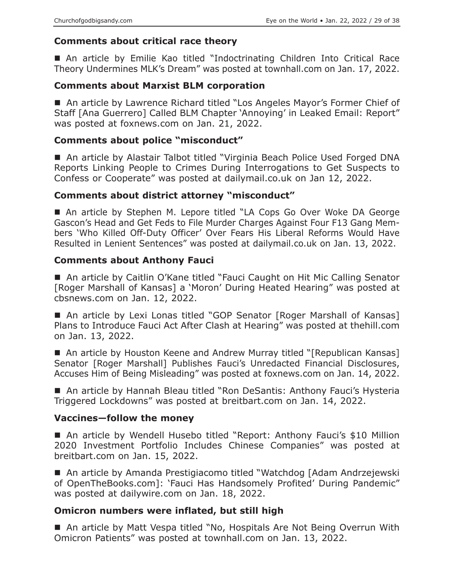# **Comments about critical race theory**

 An article by Emilie Kao titled "Indoctrinating Children Into Critical Race Theory Undermines MLK's Dream" was posted at townhall.com on Jan. 17, 2022.

# **Comments about Marxist BLM corporation**

■ An article by Lawrence Richard titled "Los Angeles Mayor's Former Chief of Staff [Ana Guerrero] Called BLM Chapter 'Annoying' in Leaked Email: Report" was posted at foxnews.com on Jan. 21, 2022.

# **Comments about police "misconduct"**

■ An article by Alastair Talbot titled "Virginia Beach Police Used Forged DNA Reports Linking People to Crimes During Interrogations to Get Suspects to Confess or Cooperate" was posted at dailymail.co.uk on Jan 12, 2022.

# **Comments about district attorney "misconduct"**

■ An article by Stephen M. Lepore titled "LA Cops Go Over Woke DA George Gascon's Head and Get Feds to File Murder Charges Against Four F13 Gang Members 'Who Killed Off-Duty Officer' Over Fears His Liberal Reforms Would Have Resulted in Lenient Sentences" was posted at dailymail.co.uk on Jan. 13, 2022.

# **Comments about Anthony Fauci**

■ An article by Caitlin O'Kane titled "Fauci Caught on Hit Mic Calling Senator [Roger Marshall of Kansas] a 'Moron' During Heated Hearing" was posted at cbsnews.com on Jan. 12, 2022.

■ An article by Lexi Lonas titled "GOP Senator [Roger Marshall of Kansas] Plans to Introduce Fauci Act After Clash at Hearing" was posted at thehill.com on Jan. 13, 2022.

■ An article by Houston Keene and Andrew Murray titled "[Republican Kansas] Senator [Roger Marshall] Publishes Fauci's Unredacted Financial Disclosures, Accuses Him of Being Misleading" was posted at foxnews.com on Jan. 14, 2022.

■ An article by Hannah Bleau titled "Ron DeSantis: Anthony Fauci's Hysteria Triggered Lockdowns" was posted at breitbart.com on Jan. 14, 2022.

# **Vaccines—follow the money**

■ An article by Wendell Husebo titled "Report: Anthony Fauci's \$10 Million 2020 Investment Portfolio Includes Chinese Companies" was posted at breitbart.com on Jan. 15, 2022.

■ An article by Amanda Prestigiacomo titled "Watchdog [Adam Andrzejewski of OpenTheBooks.com]: 'Fauci Has Handsomely Profited' During Pandemic" was posted at dailywire.com on Jan. 18, 2022.

# **Omicron numbers were inflated, but still high**

■ An article by Matt Vespa titled "No, Hospitals Are Not Being Overrun With Omicron Patients" was posted at townhall.com on Jan. 13, 2022.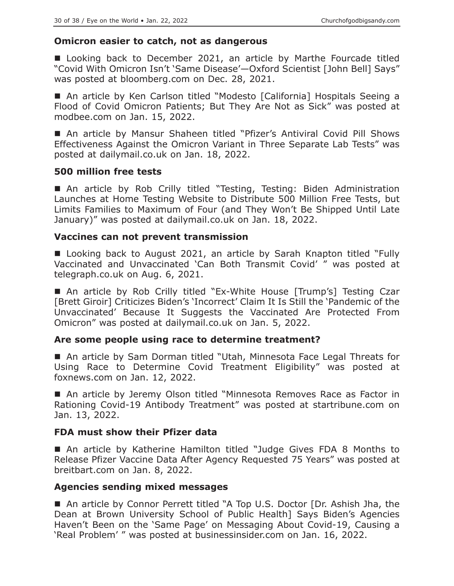#### **Omicron easier to catch, not as dangerous**

■ Looking back to December 2021, an article by Marthe Fourcade titled "Covid With Omicron Isn't 'Same Disease'—Oxford Scientist [John Bell] Says" was posted at bloomberg.com on Dec. 28, 2021.

■ An article by Ken Carlson titled "Modesto [California] Hospitals Seeing a Flood of Covid Omicron Patients; But They Are Not as Sick" was posted at modbee.com on Jan. 15, 2022.

■ An article by Mansur Shaheen titled "Pfizer's Antiviral Covid Pill Shows Effectiveness Against the Omicron Variant in Three Separate Lab Tests" was posted at dailymail.co.uk on Jan. 18, 2022.

#### **500 million free tests**

 An article by Rob Crilly titled "Testing, Testing: Biden Administration Launches at Home Testing Website to Distribute 500 Million Free Tests, but Limits Families to Maximum of Four (and They Won't Be Shipped Until Late January)" was posted at dailymail.co.uk on Jan. 18, 2022.

#### **Vaccines can not prevent transmission**

■ Looking back to August 2021, an article by Sarah Knapton titled "Fully Vaccinated and Unvaccinated 'Can Both Transmit Covid' " was posted at telegraph.co.uk on Aug. 6, 2021.

 An article by Rob Crilly titled "Ex-White House [Trump's] Testing Czar [Brett Giroir] Criticizes Biden's 'Incorrect' Claim It Is Still the 'Pandemic of the Unvaccinated' Because It Suggests the Vaccinated Are Protected From Omicron" was posted at dailymail.co.uk on Jan. 5, 2022.

# **Are some people using race to determine treatment?**

■ An article by Sam Dorman titled "Utah, Minnesota Face Legal Threats for Using Race to Determine Covid Treatment Eligibility" was posted at foxnews.com on Jan. 12, 2022.

■ An article by Jeremy Olson titled "Minnesota Removes Race as Factor in Rationing Covid-19 Antibody Treatment" was posted at startribune.com on Jan. 13, 2022.

# **FDA must show their Pfizer data**

 An article by Katherine Hamilton titled "Judge Gives FDA 8 Months to Release Pfizer Vaccine Data After Agency Requested 75 Years" was posted at breitbart.com on Jan. 8, 2022.

# **Agencies sending mixed messages**

■ An article by Connor Perrett titled "A Top U.S. Doctor [Dr. Ashish Jha, the Dean at Brown University School of Public Health] Says Biden's Agencies Haven't Been on the 'Same Page' on Messaging About Covid-19, Causing a 'Real Problem' " was posted at businessinsider.com on Jan. 16, 2022.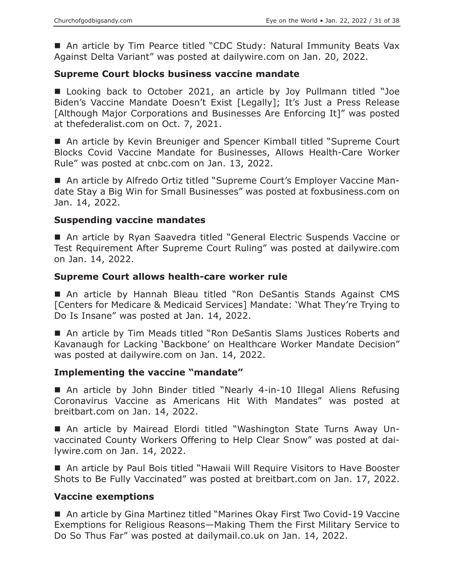■ An article by Tim Pearce titled "CDC Study: Natural Immunity Beats Vax Against Delta Variant" was posted at dailywire.com on Jan. 20, 2022.

#### **Supreme Court blocks business vaccine mandate**

 Looking back to October 2021, an article by Joy Pullmann titled "Joe Biden's Vaccine Mandate Doesn't Exist [Legally]; It's Just a Press Release [Although Major Corporations and Businesses Are Enforcing It]" was posted at thefederalist.com on Oct. 7, 2021.

■ An article by Kevin Breuniger and Spencer Kimball titled "Supreme Court Blocks Covid Vaccine Mandate for Businesses, Allows Health-Care Worker Rule" was posted at cnbc.com on Jan. 13, 2022.

■ An article by Alfredo Ortiz titled "Supreme Court's Employer Vaccine Mandate Stay a Big Win for Small Businesses" was posted at foxbusiness.com on Jan. 14, 2022.

#### **Suspending vaccine mandates**

■ An article by Ryan Saavedra titled "General Electric Suspends Vaccine or Test Requirement After Supreme Court Ruling" was posted at dailywire.com on Jan. 14, 2022.

#### **Supreme Court allows health-care worker rule**

■ An article by Hannah Bleau titled "Ron DeSantis Stands Against CMS [Centers for Medicare & Medicaid Services] Mandate: 'What They're Trying to Do Is Insane" was posted at Jan. 14, 2022.

 An article by Tim Meads titled "Ron DeSantis Slams Justices Roberts and Kavanaugh for Lacking 'Backbone' on Healthcare Worker Mandate Decision" was posted at dailywire.com on Jan. 14, 2022.

#### **Implementing the vaccine "mandate"**

■ An article by John Binder titled "Nearly 4-in-10 Illegal Aliens Refusing Coronavirus Vaccine as Americans Hit With Mandates" was posted at breitbart.com on Jan. 14, 2022.

 An article by Mairead Elordi titled "Washington State Turns Away Unvaccinated County Workers Offering to Help Clear Snow" was posted at dailywire.com on Jan. 14, 2022.

 An article by Paul Bois titled "Hawaii Will Require Visitors to Have Booster Shots to Be Fully Vaccinated" was posted at breitbart.com on Jan. 17, 2022.

#### **Vaccine exemptions**

■ An article by Gina Martinez titled "Marines Okay First Two Covid-19 Vaccine Exemptions for Religious Reasons—Making Them the First Military Service to Do So Thus Far" was posted at dailymail.co.uk on Jan. 14, 2022.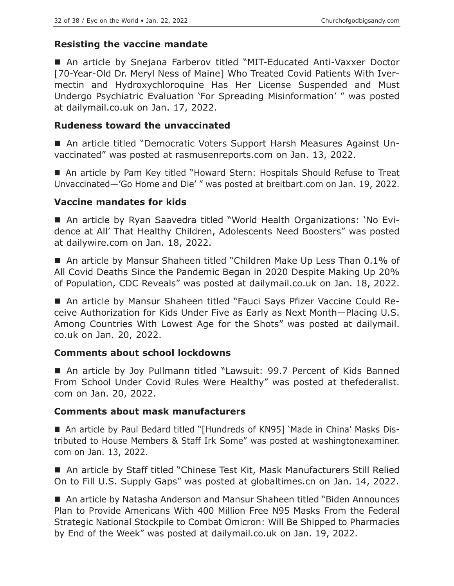# **Resisting the vaccine mandate**

 An article by Snejana Farberov titled "MIT-Educated Anti-Vaxxer Doctor [70-Year-Old Dr. Meryl Ness of Maine] Who Treated Covid Patients With Ivermectin and Hydroxychloroquine Has Her License Suspended and Must Undergo Psychiatric Evaluation 'For Spreading Misinformation' " was posted at dailymail.co.uk on Jan. 17, 2022.

# **Rudeness toward the unvaccinated**

 An article titled "Democratic Voters Support Harsh Measures Against Unvaccinated" was posted at rasmusenreports.com on Jan. 13, 2022.

■ An article by Pam Key titled "Howard Stern: Hospitals Should Refuse to Treat Unvaccinated—'Go Home and Die' " was posted at breitbart.com on Jan. 19, 2022.

# **Vaccine mandates for kids**

 An article by Ryan Saavedra titled "World Health Organizations: 'No Evidence at All' That Healthy Children, Adolescents Need Boosters" was posted at dailywire.com on Jan. 18, 2022.

■ An article by Mansur Shaheen titled "Children Make Up Less Than 0.1% of All Covid Deaths Since the Pandemic Began in 2020 Despite Making Up 20% of Population, CDC Reveals" was posted at dailymail.co.uk on Jan. 18, 2022.

 An article by Mansur Shaheen titled "Fauci Says Pfizer Vaccine Could Receive Authorization for Kids Under Five as Early as Next Month—Placing U.S. Among Countries With Lowest Age for the Shots" was posted at dailymail. co.uk on Jan. 20, 2022.

# **Comments about school lockdowns**

■ An article by Joy Pullmann titled "Lawsuit: 99.7 Percent of Kids Banned From School Under Covid Rules Were Healthy" was posted at thefederalist. com on Jan. 20, 2022.

# **Comments about mask manufacturers**

 An article by Paul Bedard titled "[Hundreds of KN95] 'Made in China' Masks Distributed to House Members & Staff Irk Some" was posted at washingtonexaminer. com on Jan. 13, 2022.

■ An article by Staff titled "Chinese Test Kit, Mask Manufacturers Still Relied On to Fill U.S. Supply Gaps" was posted at globaltimes.cn on Jan. 14, 2022.

■ An article by Natasha Anderson and Mansur Shaheen titled "Biden Announces Plan to Provide Americans With 400 Million Free N95 Masks From the Federal Strategic National Stockpile to Combat Omicron: Will Be Shipped to Pharmacies by End of the Week" was posted at dailymail.co.uk on Jan. 19, 2022.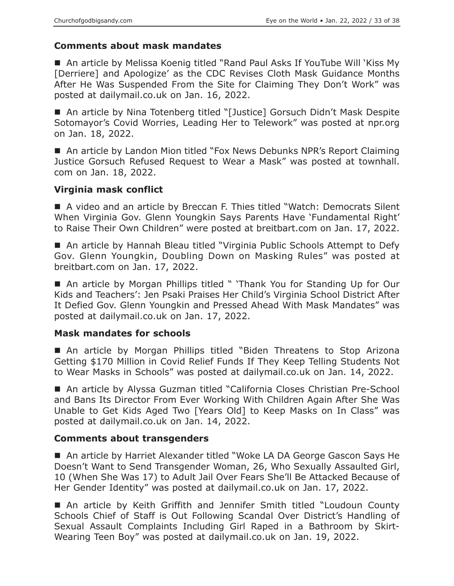#### **Comments about mask mandates**

■ An article by Melissa Koenig titled "Rand Paul Asks If YouTube Will 'Kiss My [Derriere] and Apologize' as the CDC Revises Cloth Mask Guidance Months After He Was Suspended From the Site for Claiming They Don't Work" was posted at dailymail.co.uk on Jan. 16, 2022.

■ An article by Nina Totenberg titled "[Justice] Gorsuch Didn't Mask Despite Sotomayor's Covid Worries, Leading Her to Telework" was posted at npr.org on Jan. 18, 2022.

■ An article by Landon Mion titled "Fox News Debunks NPR's Report Claiming Justice Gorsuch Refused Request to Wear a Mask" was posted at townhall. com on Jan. 18, 2022.

#### **Virginia mask conflict**

■ A video and an article by Breccan F. Thies titled "Watch: Democrats Silent When Virginia Gov. Glenn Youngkin Says Parents Have 'Fundamental Right' to Raise Their Own Children" were posted at breitbart.com on Jan. 17, 2022.

■ An article by Hannah Bleau titled "Virginia Public Schools Attempt to Defy Gov. Glenn Youngkin, Doubling Down on Masking Rules" was posted at breitbart.com on Jan. 17, 2022.

■ An article by Morgan Phillips titled " 'Thank You for Standing Up for Our Kids and Teachers': Jen Psaki Praises Her Child's Virginia School District After It Defied Gov. Glenn Youngkin and Pressed Ahead With Mask Mandates" was posted at dailymail.co.uk on Jan. 17, 2022.

#### **Mask mandates for schools**

 An article by Morgan Phillips titled "Biden Threatens to Stop Arizona Getting \$170 Million in Covid Relief Funds If They Keep Telling Students Not to Wear Masks in Schools" was posted at dailymail.co.uk on Jan. 14, 2022.

■ An article by Alyssa Guzman titled "California Closes Christian Pre-School and Bans Its Director From Ever Working With Children Again After She Was Unable to Get Kids Aged Two [Years Old] to Keep Masks on In Class" was posted at dailymail.co.uk on Jan. 14, 2022.

# **Comments about transgenders**

■ An article by Harriet Alexander titled "Woke LA DA George Gascon Says He Doesn't Want to Send Transgender Woman, 26, Who Sexually Assaulted Girl, 10 (When She Was 17) to Adult Jail Over Fears She'll Be Attacked Because of Her Gender Identity" was posted at dailymail.co.uk on Jan. 17, 2022.

 An article by Keith Griffith and Jennifer Smith titled "Loudoun County Schools Chief of Staff is Out Following Scandal Over District's Handling of Sexual Assault Complaints Including Girl Raped in a Bathroom by Skirt-Wearing Teen Boy" was posted at dailymail.co.uk on Jan. 19, 2022.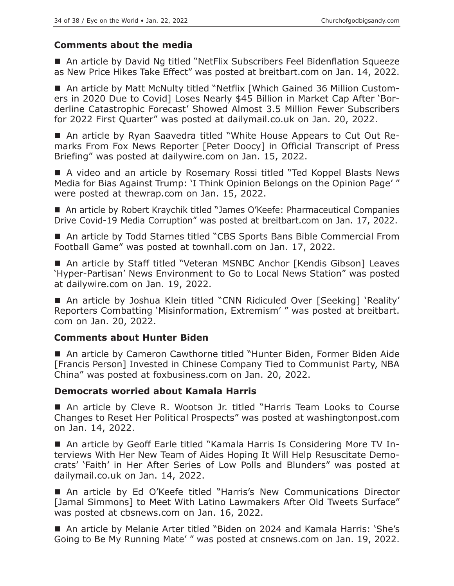# **Comments about the media**

■ An article by David Ng titled "NetFlix Subscribers Feel Bidenflation Squeeze as New Price Hikes Take Effect" was posted at breitbart.com on Jan. 14, 2022.

 An article by Matt McNulty titled "Netflix [Which Gained 36 Million Customers in 2020 Due to Covid] Loses Nearly \$45 Billion in Market Cap After 'Borderline Catastrophic Forecast' Showed Almost 3.5 Million Fewer Subscribers for 2022 First Quarter" was posted at dailymail.co.uk on Jan. 20, 2022.

 An article by Ryan Saavedra titled "White House Appears to Cut Out Remarks From Fox News Reporter [Peter Doocy] in Official Transcript of Press Briefing" was posted at dailywire.com on Jan. 15, 2022.

■ A video and an article by Rosemary Rossi titled "Ted Koppel Blasts News Media for Bias Against Trump: 'I Think Opinion Belongs on the Opinion Page' " were posted at thewrap.com on Jan. 15, 2022.

■ An article by Robert Kraychik titled "James O'Keefe: Pharmaceutical Companies Drive Covid-19 Media Corruption" was posted at breitbart.com on Jan. 17, 2022.

■ An article by Todd Starnes titled "CBS Sports Bans Bible Commercial From Football Game" was posted at townhall.com on Jan. 17, 2022.

■ An article by Staff titled "Veteran MSNBC Anchor [Kendis Gibson] Leaves 'Hyper-Partisan' News Environment to Go to Local News Station" was posted at dailywire.com on Jan. 19, 2022.

■ An article by Joshua Klein titled "CNN Ridiculed Over [Seeking] 'Reality' Reporters Combatting 'Misinformation, Extremism' " was posted at breitbart. com on Jan. 20, 2022.

# **Comments about Hunter Biden**

■ An article by Cameron Cawthorne titled "Hunter Biden, Former Biden Aide [Francis Person] Invested in Chinese Company Tied to Communist Party, NBA China" was posted at foxbusiness.com on Jan. 20, 2022.

# **Democrats worried about Kamala Harris**

 An article by Cleve R. Wootson Jr. titled "Harris Team Looks to Course Changes to Reset Her Political Prospects" was posted at washingtonpost.com on Jan. 14, 2022.

 An article by Geoff Earle titled "Kamala Harris Is Considering More TV Interviews With Her New Team of Aides Hoping It Will Help Resuscitate Democrats' 'Faith' in Her After Series of Low Polls and Blunders" was posted at dailymail.co.uk on Jan. 14, 2022.

■ An article by Ed O'Keefe titled "Harris's New Communications Director [Jamal Simmons] to Meet With Latino Lawmakers After Old Tweets Surface" was posted at cbsnews.com on Jan. 16, 2022.

■ An article by Melanie Arter titled "Biden on 2024 and Kamala Harris: 'She's Going to Be My Running Mate' " was posted at cnsnews.com on Jan. 19, 2022.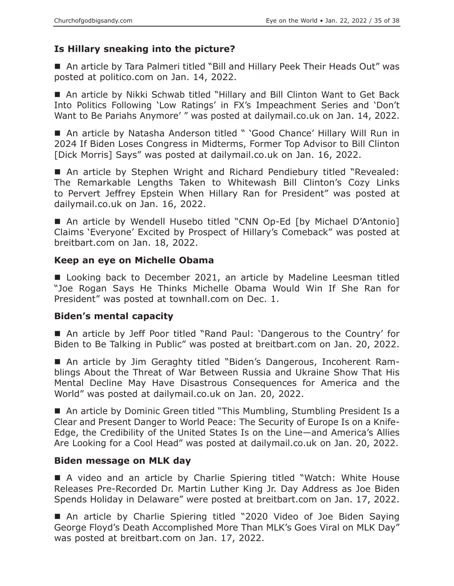# **Is Hillary sneaking into the picture?**

 An article by Tara Palmeri titled "Bill and Hillary Peek Their Heads Out" was posted at politico.com on Jan. 14, 2022.

 An article by Nikki Schwab titled "Hillary and Bill Clinton Want to Get Back Into Politics Following 'Low Ratings' in FX's Impeachment Series and 'Don't Want to Be Pariahs Anymore' " was posted at dailymail.co.uk on Jan. 14, 2022.

■ An article by Natasha Anderson titled " 'Good Chance' Hillary Will Run in 2024 If Biden Loses Congress in Midterms, Former Top Advisor to Bill Clinton [Dick Morris] Says" was posted at dailymail.co.uk on Jan. 16, 2022.

■ An article by Stephen Wright and Richard Pendiebury titled "Revealed: The Remarkable Lengths Taken to Whitewash Bill Clinton's Cozy Links to Pervert Jeffrey Epstein When Hillary Ran for President" was posted at dailymail.co.uk on Jan. 16, 2022.

 An article by Wendell Husebo titled "CNN Op-Ed [by Michael D'Antonio] Claims 'Everyone' Excited by Prospect of Hillary's Comeback" was posted at breitbart.com on Jan. 18, 2022.

# **Keep an eye on Michelle Obama**

■ Looking back to December 2021, an article by Madeline Leesman titled "Joe Rogan Says He Thinks Michelle Obama Would Win If She Ran for President" was posted at townhall.com on Dec. 1.

# **Biden's mental capacity**

■ An article by Jeff Poor titled "Rand Paul: 'Dangerous to the Country' for Biden to Be Talking in Public" was posted at breitbart.com on Jan. 20, 2022.

 An article by Jim Geraghty titled "Biden's Dangerous, Incoherent Ramblings About the Threat of War Between Russia and Ukraine Show That His Mental Decline May Have Disastrous Consequences for America and the World" was posted at dailymail.co.uk on Jan. 20, 2022.

■ An article by Dominic Green titled "This Mumbling, Stumbling President Is a Clear and Present Danger to World Peace: The Security of Europe Is on a Knife-Edge, the Credibility of the United States Is on the Line—and America's Allies Are Looking for a Cool Head" was posted at dailymail.co.uk on Jan. 20, 2022.

# **Biden message on MLK day**

 A video and an article by Charlie Spiering titled "Watch: White House Releases Pre-Recorded Dr. Martin Luther King Jr. Day Address as Joe Biden Spends Holiday in Delaware" were posted at breitbart.com on Jan. 17, 2022.

 An article by Charlie Spiering titled "2020 Video of Joe Biden Saying George Floyd's Death Accomplished More Than MLK's Goes Viral on MLK Day" was posted at breitbart.com on Jan. 17, 2022.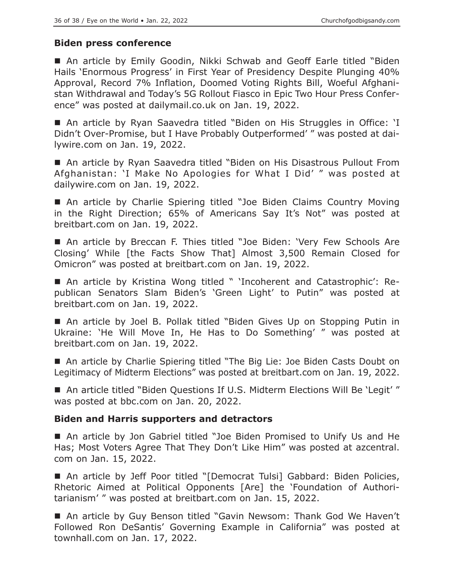#### **Biden press conference**

■ An article by Emily Goodin, Nikki Schwab and Geoff Earle titled "Biden Hails 'Enormous Progress' in First Year of Presidency Despite Plunging 40% Approval, Record 7% Inflation, Doomed Voting Rights Bill, Woeful Afghanistan Withdrawal and Today's 5G Rollout Fiasco in Epic Two Hour Press Conference" was posted at dailymail.co.uk on Jan. 19, 2022.

■ An article by Ryan Saavedra titled "Biden on His Struggles in Office: 'I Didn't Over-Promise, but I Have Probably Outperformed' " was posted at dailywire.com on Jan. 19, 2022.

■ An article by Ryan Saavedra titled "Biden on His Disastrous Pullout From Afghanistan: 'I Make No Apologies for What I Did' " was posted at dailywire.com on Jan. 19, 2022.

■ An article by Charlie Spiering titled "Joe Biden Claims Country Moving in the Right Direction; 65% of Americans Say It's Not" was posted at breitbart.com on Jan. 19, 2022.

■ An article by Breccan F. Thies titled "Joe Biden: 'Very Few Schools Are Closing' While [the Facts Show That] Almost 3,500 Remain Closed for Omicron" was posted at breitbart.com on Jan. 19, 2022.

 An article by Kristina Wong titled " 'Incoherent and Catastrophic': Republican Senators Slam Biden's 'Green Light' to Putin" was posted at breitbart.com on Jan. 19, 2022.

■ An article by Joel B. Pollak titled "Biden Gives Up on Stopping Putin in Ukraine: 'He Will Move In, He Has to Do Something' " was posted at breitbart.com on Jan. 19, 2022.

■ An article by Charlie Spiering titled "The Big Lie: Joe Biden Casts Doubt on Legitimacy of Midterm Elections" was posted at breitbart.com on Jan. 19, 2022.

■ An article titled "Biden Questions If U.S. Midterm Elections Will Be 'Legit'" was posted at bbc.com on Jan. 20, 2022.

#### **Biden and Harris supporters and detractors**

 An article by Jon Gabriel titled "Joe Biden Promised to Unify Us and He Has; Most Voters Agree That They Don't Like Him" was posted at azcentral. com on Jan. 15, 2022.

■ An article by Jeff Poor titled "[Democrat Tulsi] Gabbard: Biden Policies, Rhetoric Aimed at Political Opponents [Are] the 'Foundation of Authoritarianism' " was posted at breitbart.com on Jan. 15, 2022.

■ An article by Guy Benson titled "Gavin Newsom: Thank God We Haven't Followed Ron DeSantis' Governing Example in California" was posted at townhall.com on Jan. 17, 2022.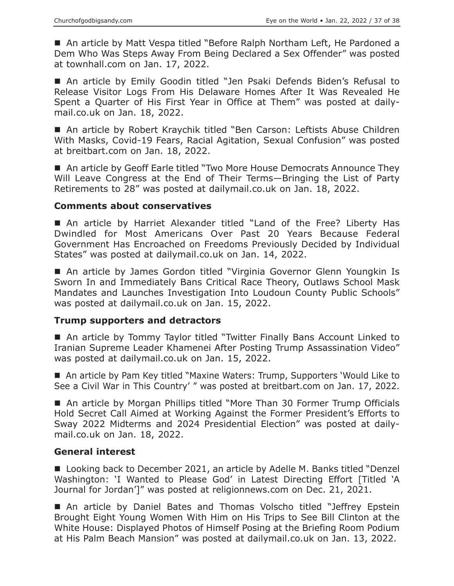■ An article by Matt Vespa titled "Before Ralph Northam Left, He Pardoned a Dem Who Was Steps Away From Being Declared a Sex Offender" was posted at townhall.com on Jan. 17, 2022.

 An article by Emily Goodin titled "Jen Psaki Defends Biden's Refusal to Release Visitor Logs From His Delaware Homes After It Was Revealed He Spent a Quarter of His First Year in Office at Them" was posted at dailymail.co.uk on Jan. 18, 2022.

■ An article by Robert Kraychik titled "Ben Carson: Leftists Abuse Children With Masks, Covid-19 Fears, Racial Agitation, Sexual Confusion" was posted at breitbart.com on Jan. 18, 2022.

■ An article by Geoff Earle titled "Two More House Democrats Announce They Will Leave Congress at the End of Their Terms—Bringing the List of Party Retirements to 28" was posted at dailymail.co.uk on Jan. 18, 2022.

#### **Comments about conservatives**

 An article by Harriet Alexander titled "Land of the Free? Liberty Has Dwindled for Most Americans Over Past 20 Years Because Federal Government Has Encroached on Freedoms Previously Decided by Individual States" was posted at dailymail.co.uk on Jan. 14, 2022.

 An article by James Gordon titled "Virginia Governor Glenn Youngkin Is Sworn In and Immediately Bans Critical Race Theory, Outlaws School Mask Mandates and Launches Investigation Into Loudoun County Public Schools" was posted at dailymail.co.uk on Jan. 15, 2022.

#### **Trump supporters and detractors**

■ An article by Tommy Taylor titled "Twitter Finally Bans Account Linked to Iranian Supreme Leader Khamenei After Posting Trump Assassination Video" was posted at dailymail.co.uk on Jan. 15, 2022.

■ An article by Pam Key titled "Maxine Waters: Trump, Supporters 'Would Like to See a Civil War in This Country' " was posted at breitbart.com on Jan. 17, 2022.

■ An article by Morgan Phillips titled "More Than 30 Former Trump Officials Hold Secret Call Aimed at Working Against the Former President's Efforts to Sway 2022 Midterms and 2024 Presidential Election" was posted at dailymail.co.uk on Jan. 18, 2022.

# **General interest**

■ Looking back to December 2021, an article by Adelle M. Banks titled "Denzel Washington: 'I Wanted to Please God' in Latest Directing Effort [Titled 'A Journal for Jordan']" was posted at religionnews.com on Dec. 21, 2021.

■ An article by Daniel Bates and Thomas Volscho titled "Jeffrey Epstein Brought Eight Young Women With Him on His Trips to See Bill Clinton at the White House: Displayed Photos of Himself Posing at the Briefing Room Podium at His Palm Beach Mansion" was posted at dailymail.co.uk on Jan. 13, 2022.